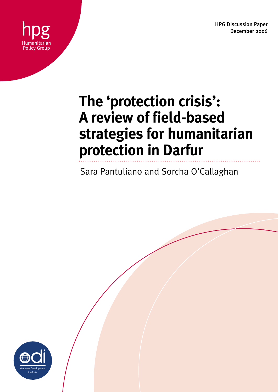HPG Discussion Paper December 2006



# **The 'protection crisis': A review of field-based strategies for humanitarian protection in Darfur**

Sara Pantuliano and Sorcha O'Callaghan

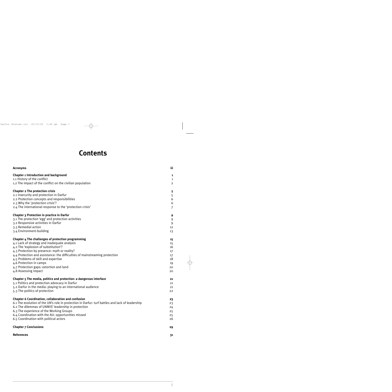## **Contents**

| <b>Acronyms</b>                                                                                 | iii            |
|-------------------------------------------------------------------------------------------------|----------------|
| <b>Chapter 1 Introduction and background</b>                                                    | 1              |
| 1.1 History of the conflict                                                                     | 1              |
| 1.2 The impact of the conflict on the civilian population                                       | $\overline{2}$ |
| <b>Chapter 2 The protection crisis</b>                                                          | 5              |
| 2.1 Insecurity and protection in Darfur                                                         | 5              |
| 2.2 Protection concepts and responsibilities                                                    | 6              |
| 2.3 Why the 'protection crisis'?                                                                | 6              |
| 2.4 The international response to the 'protection crisis'                                       | $\overline{7}$ |
| Chapter 3 Protection in practice in Darfur                                                      | 9              |
| 3.1 The protection 'egg' and protection activities                                              | 9              |
| 3.2 Responsive activities in Darfur                                                             | 9              |
| 3.3 Remedial action                                                                             | 12             |
| 3.4 Environment-building                                                                        | 13             |
| Chapter 4 The challenges of protection programming                                              | 15             |
| 4.1 Lack of strategy and inadequate analysis                                                    | 15             |
| 4.2 The 'explosion of substitution'?                                                            | 16             |
| 4.3 Protection by presence: myth or reality?                                                    | $17 \,$        |
| 4.4 Protection and assistance: the difficulties of mainstreaming protection                     | 17             |
| 4.5 Problems of skill and expertise                                                             | 18             |
| 4.6 Protection in camps                                                                         | 19             |
| 4.7 Protection gaps: extortion and land                                                         | 20             |
| 4.8 Assessing impact                                                                            | 20             |
| Chapter 5 The media, politics and protection: a dangerous interface                             | 21             |
| 5.1 Politics and protection advocacy in Darfur                                                  | 21             |
| 5.2 Darfur in the media: playing to an international audience                                   | 21             |
| 5.3 The politics of protection                                                                  | 22             |
| <b>Chapter 6 Coordination, collaboration and confusion</b>                                      | 23             |
| 6.1 The evolution of the UN's role in protection in Darfur: turf battles and lack of leadership | 23             |
| 6.2 The dilemmas of UNMIS' leadership in protection                                             | 24             |
| 6.3 The experience of the Working Groups                                                        | 25             |
| 6.4 Coordination with the AU: opportunities missed                                              | 25             |
| 6.5 Coordination with political actors                                                          | 26             |
| <b>Chapter 7 Conclusions</b>                                                                    | 29             |
| <b>References</b>                                                                               | 31             |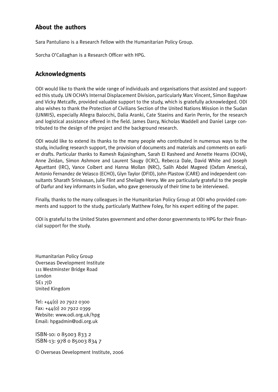### **About the authors**

Sara Pantuliano is a Research Fellow with the Humanitarian Policy Group.

Sorcha O'Callaghan is a Research Officer with HPG.

### **Acknowledgments**

ODI would like to thank the wide range of individuals and organisations that assisted and supported this study. UN OCHA's Internal Displacement Division, particularly Marc Vincent, Simon Bagshaw and Vicky Metcalfe, provided valuable support to the study, which is gratefully acknowledged. ODI also wishes to thank the Protection of Civilians Section of the United Nations Mission in the Sudan (UNMIS), especially Allegra Baiocchi, Dalia Aranki, Cate Staeins and Karin Perrin, for the research and logistical assistance offered in the field. James Darcy, Nicholas Waddell and Daniel Large contributed to the design of the project and the background research.

ODI would like to extend its thanks to the many people who contributed in numerous ways to the study, including research support, the provision of documents and materials and comments on earlier drafts. Particular thanks to Ramesh Rajasingham, Sarah El Rasheed and Annette Hearns (OCHA), Anne Zeidan, Simon Ashmore and Laurent Saugy (ICRC), Rebecca Dale, David White and Joseph Aguettant (IRC), Vance Colbert and Hanna Mollan (NRC), Salih Abdel Mageed (Oxfam America), Antonio Fernandez de Velasco (ECHO), Glyn Taylor (DFID), John Plastow (CARE) and independent consultants Sharath Srinivasan, Julie Flint and Sheilagh Henry. We are particularly grateful to the people of Darfur and key informants in Sudan, who gave generously of their time to be interviewed.

Finally, thanks to the many colleagues in the Humanitarian Policy Group at ODI who provided comments and support to the study, particularly Matthew Foley, for his expert editing of the paper.

ODI is grateful to the United States government and other donor governments to HPG for their financial support for the study.

Humanitarian Policy Group Overseas Development Institute 111 Westminster Bridge Road London SE1 7JD United Kingdom

Tel: +44(0) 20 7922 0300 Fax: +44(0) 20 7922 0399 Website: www.odi.org.uk/hpg Email: hpgadmin@odi.org.uk

ISBN-10: 0 85003 833 2 ISBN-13: 978 0 85003 834 7

© Overseas Development Institute, 2006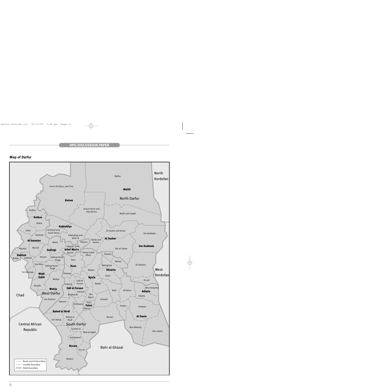#### **Map of Darfur**

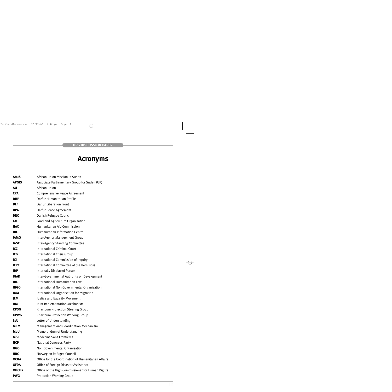# **Acronyms**

| <b>AMIS</b>  | African Union Mission in Sudan                      |
|--------------|-----------------------------------------------------|
| <b>APGfS</b> | Associate Parliamentary Group for Sudan (UK)        |
| AU           | African Union                                       |
| <b>CPA</b>   | Comprehensive Peace Agreement                       |
| <b>DHP</b>   | Darfur Humanitarian Profile                         |
| <b>DLF</b>   | <b>Darfur Liberation Front</b>                      |
| <b>DPA</b>   | Darfur Peace Agreement                              |
| <b>DRC</b>   | Danish Refugee Council                              |
| <b>FAO</b>   | Food and Agriculture Organisation                   |
| <b>HAC</b>   | <b>Humanitarian Aid Commission</b>                  |
| <b>HIC</b>   | <b>Humanitarian Information Centre</b>              |
| <b>IAMG</b>  | Inter-Agency Management Group                       |
| <b>IASC</b>  | <b>Inter-Agency Standing Committee</b>              |
| ICC          | <b>International Criminal Court</b>                 |
| ICG          | <b>International Crisis Group</b>                   |
| <b>ICI</b>   | International Commission of Inquiry                 |
| <b>ICRC</b>  | International Committee of the Red Cross            |
| <b>IDP</b>   | <b>Internally Displaced Person</b>                  |
| <b>IGAD</b>  | Inter-Governmental Authority on Development         |
| <b>IHL</b>   | International Humanitarian Law                      |
| <b>INGO</b>  | International Non-Governmental Organisation         |
| <b>IOM</b>   | International Organisation for Migration            |
| JEM          | Justice and Equality Movement                       |
| JIM          | Joint Implementation Mechanism                      |
| <b>KPSG</b>  | <b>Khartoum Protection Steering Group</b>           |
| <b>KPWG</b>  | <b>Khartoum Protection Working Group</b>            |
| LoU          | Letter of Understanding                             |
| <b>MCM</b>   | Management and Coordination Mechanism               |
| MoU          | Memorandum of Understanding                         |
| <b>MSF</b>   | Médecins Sans Frontières                            |
| <b>NCP</b>   | <b>National Congress Party</b>                      |
| <b>NGO</b>   | Non-Governmental Organisation                       |
| <b>NRC</b>   | Norwegian Refugee Council                           |
| <b>OCHA</b>  | Office for the Coordination of Humanitarian Affairs |
| <b>OFDA</b>  | Office of Foreign Disaster Assistance               |
| <b>OHCHR</b> | Office of the High Commissioner for Human Rights    |
| <b>PWG</b>   | <b>Protection Working Group</b>                     |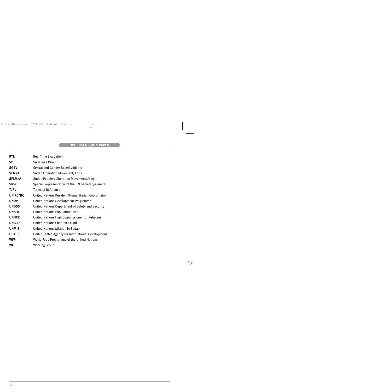| <b>RTE</b>    | <b>Real Time Evaluation</b>                        |
|---------------|----------------------------------------------------|
| <b>SD</b>     | Sudanese Dinar                                     |
| <b>SGBV</b>   | Sexual and Gender-Based Violence                   |
| SLM/A         | Sudan Liberation Movement/Army                     |
| SPLM/A        | Sudan People's Liberation Movement/Army            |
| <b>SRSG</b>   | Special Representative of the UN Secretary-General |
| <b>ToRs</b>   | Terms of Reference                                 |
| UN RC/HC      | United Nations Resident/Humanitarian Coordinator   |
| <b>UNDP</b>   | United Nations Development Programme               |
| <b>UNDSS</b>  | United Nations Department of Safety and Security   |
| <b>UNFPA</b>  | <b>United Nations Population Fund</b>              |
| <b>UNHCR</b>  | United Nations High Commissioner for Refugees      |
| <b>UNICEF</b> | United Nations Children's Fund                     |
| <b>UNMIS</b>  | United Nations Mission in Sudan                    |
| <b>USAID</b>  | United States Agency for International Development |
| <b>WFP</b>    | World Food Programme of the United Nations         |
| <b>WG</b>     | <b>Working Group</b>                               |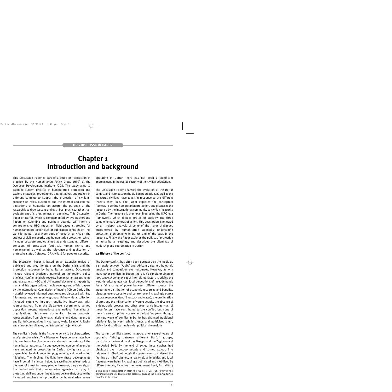### **Chapter 1 Introduction and background**

This Discussion Paper is part of a study on 'protection in practice' by the Humanitarian Policy Group (HPG) at the Overseas Development Institute (ODI). The study aims to examine current practice in humanitarian protection and explore strategies, programmes and initiatives undertaken in different contexts to support the protection of civilians. Focusing on roles, outcomes and the internal and external limitations of humanitarian actors, the purpose of the research is to draw lessons and elicit best practice, rather than evaluate specific programmes or agencies. This Discussion Paper on Darfur, which is complemented by two Background Papers on Colombia and northern Uganda, will inform a comprehensive HPG report on field-based strategies for humanitarian protection due for publication in mid-2007. This work forms part of a wider body of research by HPG on the subject of civilian security and humanitarian protection, which includes separate studies aimed at understanding different concepts of protection (political, human rights and humanitarian) as well as the relevance and application of protective status (refugee, IDP, civilian) for people's security.

The Discussion Paper is based on an extensive review of published and grey literature on the Darfur crisis and the protection response by humanitarian actors. Documents include relevant academic material on the region, policy briefings, conflict analysis reports, humanitarian assessments and evaluations, NGO and UN internal documents, reports by human rights organisations, media coverage and official papers by the International Commission of Inquiry (ICI) on Darfur. The material reviewed informed questionnaires discussed with key informants and community groups. Primary data collection included extensive in-depth qualitative interviews with representatives from the Sudanese government, armed opposition groups, international and national humanitarian organisations, Sudanese academics, Sudan analysts, representatives from diplomatic missions and donor agencies and Darfuri communities in Khartoum, Nyala, Zalingei, Al Fashir and surrounding villages, undertaken during June 2006.

The conflict in Darfur is the first emergency to be characterised as a 'protection crisis'. This Discussion Paper demonstrates how this emphasis has fundamentally shaped the nature of the humanitarian response. An unprecedented number of agencies have engaged in protection in Darfur, giving rise to an unparalleled level of protection programming and coordination initiatives. The findings highlight how these developments have, in certain instances, helped to save lives or at least reduce the level of threat for many people. However, they also signal the limited role that humanitarian agencies can play in protecting civilians under threat. Many believe that, despite the increased emphasis on protection by humanitarian actors operating in Darfur, there has not been a significant improvement in the overall security of the civilian population.

The Discussion Paper analyses the evolution of the Darfur conflict and its impact on the civilian population, as well as the measures civilians have taken in response to the different threats they face. The Paper explores the conceptual framework behind humanitarian protection, and discusses the response by the international community to civilian insecurity in Darfur. The response is then examined using the ICRC 'egg framework', which divides protection activity into three complementary spheres of action. This description is followed by an in-depth analysis of some of the major challenges encountered by humanitarian agencies undertaking protection programming in Darfur, and of the gaps in the response. Finally, the Paper explores the politics of protection in humanitarian settings, and describes the dilemmas of leadership and coordination in Darfur.

#### **1.1 History of the conflict**

The Darfur<sup>1</sup> conflict has often been portrayed by the media as a struggle between 'Arabs' and 'Africans', sparked by ethnic tension and competition over resources. However, as with many other conflicts in Sudan, there is no simple or singular root cause. A complex set of interrelated factors is driving the war. Historical grievances, local perceptions of race, demands for a fair sharing of power between different groups, the inequitable distribution of economic resources and benefits, disputes over access to and control over increasingly scarce natural resources (land, livestock and water), the proliferation of arms and the militarisation of young people, the absence of a democratic process and other governance issues – all of these factors have contributed to the conflict, but none of them is a sole or primary cause. In the last few years, though, the new wave of conflict in Darfur has changed traditional relationships between ethnic groups and politicised them, giving local conflicts much wider political dimensions.

The current conflict started in 2003, after several years of sporadic fighting between different Darfuri groups, particularly the Masalit and the Rizeigat and the Zaghawa and the Awlad Zeid. By the end of 1999, these clashes had displaced over 100,000 people and turned 40,000 into refugees in Chad. Although the government dismissed the fighting as 'tribal' clashes, in reality old animosities and local fractures were being increasingly politicised and mobilised by different forces, including the government itself, for military

<sup>1</sup> The correct transliteration from the Arabic is Dar Fur. However, the common spelling used by most aid organisations and the media, 'Darfur', is adopted in this report.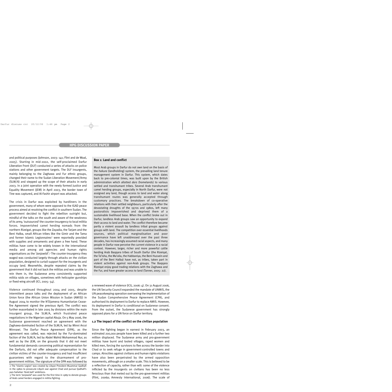and political purposes (Johnson, 2003: 141; Flint and de Waal, 2005). Starting in mid-2002, the self-proclaimed Darfur Liberation Front (DLF) conducted a series of attacks on police stations and other government targets. The DLF insurgents, mainly belonging to the Zaghawa and Fur ethnic groups, changed their name to the Sudan Liberation Movement/Army (SLM/A) and stepped up the scope of their attacks in early 2003. In a joint operation with the newly formed Justice and Equality Movement (JEM) in April 2003, the border town of Tine was captured, and Al-Fashir airport was attacked.

The crisis in Darfur was exploited by hardliners in the government, many of whom were opposed to the IGAD peace process aimed at resolving the conflict in southern Sudan. The government decided to fight the rebellion outright but, mindful of the talks on the south and aware of the weakness of its army, 'outsourced' the counter-insurgency to local militia forces. Impoverished camel herding nomads from the northern Rizeigat, groups like the Zayadia, the Tarjam and the Beni Halba, small African tribes like the Gimir and the Tama and former Islamic Legionnaires<sup>2</sup> were reportedly provided with supplies and armaments and given a free hand. These militias have come to be widely known in the international media and among aid agencies and human rights organisations as the '*Janjawiid*'.3 The counter-insurgency they waged was conducted largely through attacks on the civilian population, designed to curtail support for the insurgents and occupy land. Meanwhile, despite repeated claims by the government that it did not back the militias and was unable to rein them in, the Sudanese army consistently supported militia raids on villages, sometimes with helicopter gunships or fixed-wing aircraft (ICI, 2005: 54).

Violence continued throughout 2004 and 2005, despite intermittent peace talks and the deployment of an African Union force (the African Union Mission in Sudan (AMIS)) in August 2004 to monitor the N'Djamena Humanitarian Ceasefire Agreement signed the previous April. The conflict was further exacerbated in late 2005 by divisions within the main insurgent group, the SLM/A, which frustrated peace negotiations in the Nigerian capital Abuja. On 5 May 2006, the Sudanese government reached an agreement with the Zaghawa-dominated faction of the SLM/A, led by Minni Arcoi Minnawi. The Darfur Peace Agreement (DPA), as the agreement was called, was rejected by the Fur-dominated faction of the SLM/A, led by Abdel Wahid Mohammad Nur, as well as by the JEM, on the grounds that it did not meet fundamental demands concerning political representation for the Darfuris, did not offer adequate compensation to the civilian victims of the counter-insurgency and had insufficient guarantees with regard to the disarmament of progovernment militias. The signature of the DPA was followed by

#### **Box 1: Land and conflict**

Most Arab groups in Darfur do not own land on the basis of the *hakura* (landholding) system, the prevailing land tenure management system in Darfur. This system, which dates back to pre-colonial times, was built upon by the British administration which allotted *dars* (homelands) to various settled and transhumant tribes. Several Arab transhumant camel herding groups, especially in North Darfur, were not assigned any land, though access to land and water along transhumant routes was generally accepted through customary practices. The breakdown of co-operative relations with their settled neighbours, particularly after the devastating droughts of the 1970s and 1980s, left many pastoralists impoverished and deprived them of a sustainable livelihood base. When the conflict broke out in Darfur, landless Arab groups saw an opportunity to expand their access to land and water. The conflict therefore became partly a violent assault by landless tribal groups against groups with land. The competition over essential livelihoods sources, which political marginalisation and poor governance have left unaddressed over the past three decades, has increasingly assumed racial aspects, and many people in Darfur now perceive the current violence in a racial context. However, larger, richer and more powerful cattle herding Arab Baqqara tribes of South Darfur (the Rizeiqat, the Ta'isha, the Ma'alia, the Habbaniya, the Beni Hussein and part of the Beni Halba) have not, as tribes, taken part in violent activities against non-Arab groups. The Baqqara Rizeiqat enjoy good trading relations with the Zaghawa and the Fur, and have greater access to land (Tanner, 2005: 22).

a renewed wave of violence (ICG, 2006: 4). On 31 August 2006, the UN Security Council expanded the mandate of UNMIS, the UN peacekeeping operation overseeing the implementation of the Sudan Comprehensive Peace Agreement (CPA), and authorised its deployment to Darfur to replace AMIS. However, its deployment in Darfur is conditional on Sudanese consent. From the outset, the Sudanese government has strongly opposed plans for a UN force on Darfur territory.

#### **1.2 The impact of the conflict on the civilian population**

Since the fighting began in earnest in February 2003, an estimated 200,000 people have been killed and a further two million displaced. The Sudanese army and pro-government militias have burnt and looted villages, raped women and killed men, forcing the survivors to flee across the border into Chad or to seek refuge in government-controlled towns and camps. Atrocities against civilians and human rights violations have also been perpetrated by the armed opposition movements, although on a smaller scale. This is believed to be a reflection of capacity, rather than will: some of the violence inflicted by the insurgents on civilians has been no less ferocious than that meted out by the pro-government militias (Flint, 2006a; Amnesty International, 2006). The scale of

<sup>2</sup> The 'Islamic Legion' was created by Libyan President Muammar Qadhafi in the 1980s to prosecute Libya's war against Chad and pursue Qadhafi's pan-Sahelian 'Arab belt' ambitions.

<sup>3</sup> The term '*Janjawiid*' was used for the first time in 1989 to denote groups of Arab camel herders engaged in militia fighting.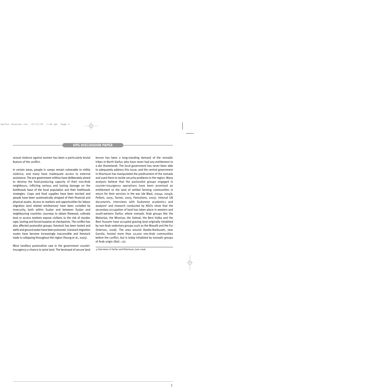sexual violence against women has been a particularly brutal feature of the conflict.

In certain areas, people in camps remain vulnerable to militia violence, and many have inadequate access to external assistance. The pro-government militias have deliberately aimed to destroy the food-producing capacity of their non-Arab neighbours, inflicting serious and lasting damage on the livelihoods base of the local population and their livelihoods strategies. Crops and food supplies have been torched and people have been systematically stripped of their financial and physical assets. Access to markets and opportunities for labour migration (and related remittances) have been curtailed by insecurity, both within Sudan and between Sudan and neighbouring countries. Journeys to obtain firewood, cultivate land or access markets expose civilians to the risk of murder, rape, looting and forced taxation at checkpoints. The conflict has also affected pastoralist groups: livestock has been looted and wells and ground water have been poisoned. Livestock migration routes have become increasingly inaccessible and livestock trade is collapsing throughout the region (Young et al., 2005).

Most landless pastoralists saw in the government counterinsurgency a chance to seize land. The bestowal of secure land tenure has been a long-standing demand of the nomadic tribes in North Darfur, who have never had any entitlement to a *dar* (homeland). The local government has never been able to adequately address this issue, and the central government in Khartoum has manipulated the predicament of the nomads and used them to tackle security problems in the region. Many analysts believe that the pastoralist groups engaged in counter-insurgency operations have been promised an entitlement to the land of settled farming communities in return for their services in the war (de Waal, 2004a, 2004b; Polloni, 2005; Tanner, 2005; Pantuliano, 2005). Internal UN documents, interviews with Sudanese academics and analysts4 and research conducted by NGOs show that the secondary occupation of land has taken place in western and south-western Darfur, where nomadic Arab groups like the Mahariya, the Missirya, the Salmat, the Beni Halba and the Beni Hussein have occupied grazing land originally inhabited by non-Arab sedentary groups such as the Masalit and the Fur (Intersos, 2006). The area around Awalla-Nankuseh, near Garsila, hosted more than 50,000 non-Arab communities before the conflict, but is today inhabited by nomadic groups of Arab origin (*ibid*.: 12).

<sup>4</sup> Interviews in Fasher and Khartoum, June 2006.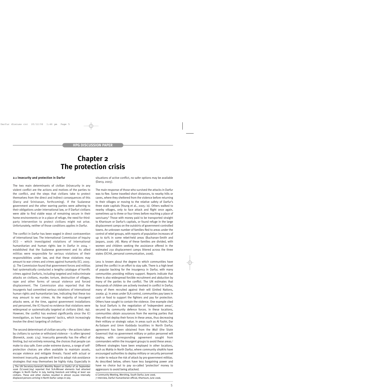### **Chapter 2 The protection crisis**

#### **2.1 Insecurity and protection in Darfur**

The two main determinants of civilian (in)security in any violent conflict are the actions and motives of the parties to the conflict, and the steps that civilians take to protect themselves from the direct and indirect consequences of this (Darcy and Srinivasan, forthcoming). If the Sudanese government and the other warring parties were adhering to their obligations under international law, or if Darfuri civilians were able to find viable ways of remaining secure in their home environments or in a place of refuge, the need for thirdparty intervention to protect civilians might not arise. Unfortunately, neither of those conditions applies in Darfur.

The conflict in Darfur has been waged in direct contravention of international law. The International Commission of Inquiry (ICI) – which investigated violations of international humanitarian and human rights law in Darfur in 2004 – established that the Sudanese government and its allied militias were responsible for serious violations of their responsibilities under law, and that these violations may amount to war crimes and crimes against humanity (ICI, 2005: 3). The Commission found that government forces and militias had systematically conducted a lengthy catalogue of horrific crimes against Darfuris, including targeted and indiscriminate attacks on civilians, murder, torture, destruction of villages, rape and other forms of sexual violence and forced displacement. The Commission also reported that the insurgents had committed serious violations of international human rights and humanitarian law, indicating that these too may amount to war crimes. As the majority of insurgent attacks were, at the time, against government installations and personnel, the ICI found no evidence that violations were widespread or systematically targeted at civilians (*ibid*.: 69). However, the conflict has evolved significantly since the ICI investigation, as have insurgents' tactics, which increasingly involve the direct targeting of civilians.5

The second determinant of civilian security – the actions taken by civilians to survive or withstand violence – is often ignored (Bonwick, 2006: 274). Insecurity generally has the effect of limiting, but not entirely removing, the choices that people can make to stay safe. Even under extreme duress, a range of selfprotection choices are often available to maintain assets, escape violence and mitigate threats. Faced with actual or imminent insecurity, people will tend to adopt risk-avoidance strategies that may themselves be highly risky. Especially in

situations of active conflict, no safer options may be available (Darcy, 2005).

The main response of those who survived the attacks in Darfur was to flee. Some travelled short distances, to nearby hills or caves, where they sheltered from the violence before returning to their villages or moving to the relative safety of Darfur's three state capitals (Young et al., 2005: ix). Others walked to nearby villages, only to face attack and flight once again, sometimes up to three or four times before reaching a place of sanctuary.<sup>6</sup> Those with money paid to be transported straight to Khartoum or Darfur's capitals, or found refuge in the large displacement camps on the outskirts of government-controlled towns. An unknown number of families fled to areas under the control of rebel groups, with reports of population increases of up to 60% in some rebel-held areas (Buchanan-Smith and Jaspars, 2006: 78). Many of these families are divided, with women and children seeking the assistance offered in the estimated 230 displacement camps littered across the three states (OCHA, personal communication, 2006).

Less is known about the degree to which communities have joined the conflict in an effort to stay safe. There is a high level of popular backing for the insurgency in Darfur, with many communities providing military support. Reports indicate that there is also widespread forcible recruitment and abduction by many of the parties to the conflict. The UN estimates that thousands of children are actively involved in conflict in Darfur, many of them recruited against their will (United Nations, 2006a: 4). In areas under SLA control, communities pay taxes in cash or food to support the fighters and pay for protection. Others have sought to contain the violence. One example cited by local Darfuris is the negotiation of 'independent areas', secured by community defence forces. In these locations, communities obtain assurances from the warring parties that they will not deploy their forces in these areas, thus decreasing their military or strategic value. In areas such as Al Fashir, Dar As-Salaam and Umm Kaddada localities in North Darfur, agreement has been obtained from the *Wali* (the State Governor) that no government military or police personnel will deploy, with corresponding agreement sought from commanders within the insurgent groups to avoid these areas.7 Different strategies have been employed in other locations, such as Mahla in North Darfur, where community *shaikhs* have *encouraged* authorities to deploy military or security personnel in order to reduce the risk of attack by pro-government militias. As described below, others have less bargaining power and have no choice but to pay so-called 'protection' money to aggressors to avoid being attacked.

6 Community Meeting, Mershing, South Darfur, June 2006. 7 Interview, Darfuri humanitarian official, Khartoum, June 2006.

<sup>5</sup> The UN Secretary-General's Monthly Report on Darfur of 26 September 2006 (S/2006/764) reported that SLA-Minawi elements had attacked villages in North Darfur in July, looting livestock and killing at least 100 civilians. These and other clashes resulted in almost 20,000 internally displaced persons arriving in North Darfur camps in July.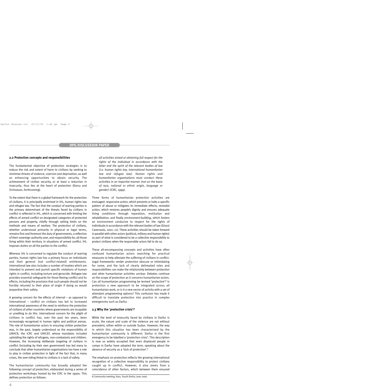#### **2.2 Protection concepts and responsibilities**

The fundamental objective of protection strategies is to reduce the risk and extent of harm to civilians by seeking to minimise threats of violence, coercion and deprivation, as well as enhancing opportunities to obtain security. The achievement of civilian security, or at least a reduction in *insecurity*, thus lies at the heart of protection (Darcy and Srinivasan, forthcoming).

To the extent that there is a global framework for the protection of civilians, it is principally enshrined in IHL, human rights law and refugee law. The fact that the conduct of warring parties is the primary determinant of the threats faced by civilians in conflict is reflected in IHL, which is concerned with limiting the effects of armed conflict on designated categories of protected persons and property, chiefly through setting limits on the methods and means of warfare. The protection of civilians, whether understood primarily in physical or legal terms, remains first and foremost the duty of governments, a reflection of their sovereign authority over, and responsibility for, all those living within their territory. In situations of armed conflict, IHL imposes duties on *all* the parties to the conflict.

Whereas IHL is concerned to regulate the conduct of warring parties, human rights law has a primary focus on individuals and their general (not conflict-related) entitlements. International law also includes a number of treaties which are intended to prevent and punish specific violations of human rights in conflict, including torture and genocide. Refugee law provides essential safeguards for those fleeing conflict and its effects, including the provision that such people should not be forcibly returned to their place of origin if doing so would jeopardise their safety.

A growing concern for the effects of internal – as opposed to international – conflict on civilians has led to increased international awareness of the need to reinforce the protection of civilians of *other* countries where governments are incapable or unwilling to do this. International concern for the plight of civilians in conflict has, over the past ten years, been increasingly recognised in human rights and political arenas. The role of humanitarian actors in ensuring civilian protection was, in the past, largely understood as the responsibility of UNHCR, the ICRC and UNICEF, whose mandates included upholding the rights of refugees, non-combatants and children. However, the increasing deliberate targeting of civilians in conflict (including by their own government) has led many to conclude that other humanitarian organisations too have a role to play in civilian protection in light of the fact that, in many crises, the over-riding threat to civilians is a lack of safety.

The humanitarian community has broadly adopted the following *concept of protection*, elaborated during a series of protection workshops hosted by the ICRC in the 1990s. This defines protection as follows:

*all activities aimed at obtaining full respect for the rights of the individual in accordance with the letter and the spirit of the relevant bodies of law (i.e. human rights law, international humanitarian law and refugee law). Human rights and humanitarian organisations must conduct these activities in an impartial manner (not on the basis of race, national or ethnic origin, language or gender) (ICRC, 1999).*

Three forms of humanitarian protection activities are envisaged: *responsive action*, which prevents or halts a specific pattern of abuse or mitigates its immediate effects; *remedial action*, which restores people's dignity and ensures adequate living conditions through reparation, restitution and rehabilitation; and finally *environment-building*, which fosters an environment conducive to respect for the rights of individuals in accordance with the relevant bodies of law (Giossi Caverzasio, 2001: 21). These activities should be taken forward in parallel with other actors (political, military and human rights) as part of what is considered to be a collective responsibility to protect civilians when the responsible actors fail to do so.

These all-encompassing concepts and activities have often confused humanitarian actors searching for practical measures to help alleviate the suffering of civilians in conflict. Legal frameworks render protection obscure or intimidating for some, and the lack of clearly delineated roles and responsibilities can make the relationship between protection and other humanitarian activities unclear. Debates continue on the scope of protection as it concerns humanitarian actors. Can *all* humanitarian programming be termed 'protective'? Is protection a new *approach* to be integrated across all humanitarian work, or is it a new sector of activity with a set of attendant programming options? This confusion has made it difficult to translate protection into practice in complex emergencies such as Darfur.

#### **2.3 Why the '***protection* **crisis'?**

While the level of insecurity faced by civilians in Darfur is acute, the nature and scale of the violence are not without precedent, either within or outside Sudan. However, the way in which this situation has been characterised by the humanitarian community is different: Darfur is the first emergency to be labelled a 'protection crisis'. This description is now so widely accepted that even displaced people in camps in Darfur have adopted the term, speaking about the absence of security as a 'lack of protection'.8

The emphasis on protection reflects the growing international recognition of a collective responsibility to protect civilians caught up in conflict. However, it also stems from a coincidence of other factors, which between them ensured

8 Community meeting, Kass, South Darfur, June 2006.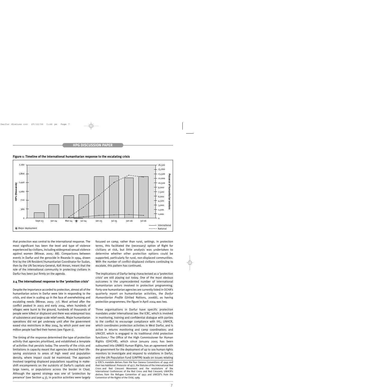



that protection was central to the international response. The most significant has been the level and type of violence experienced by civilians, including widespread sexual violence against women (Minear, 2005: 88). Comparisons between events in Darfur and the genocide in Rwanda in 1994, drawn first by the UN Resident/Humanitarian Coordinator for Sudan, then by the UN Secretary-General, Kofi Annan, meant that the role of the international community in protecting civilians in Darfur has been put firmly on the agenda.

#### **2.4 The international response to the 'protection crisis'**

Despite the importance accorded to protection, almost all of the humanitarian actors in Darfur were late in responding to the crisis, and slow in scaling up in the face of overwhelming and escalating needs (Minear, 2005: 77). Most arrived after the conflict peaked in 2003 and early 2004, when hundreds of villages were burnt to the ground, hundreds of thousands of people were killed or displaced and there was widespread loss of subsistence and large-scale relief needs. Major humanitarian operations did not get underway until after the government eased visa restrictions in May 2004, by which point over one million people had fled their homes (see Figure 1).

The timing of the response determined the type of protection activity that agencies prioritised, and established a template of activities that persists today. The severity of the crisis and limitations in capacity meant that agencies directed their lifesaving assistance to areas of high need and population density, where impact could be maximised. The approach involved targeting displaced populations squatting in makeshift encampments on the outskirts of Darfur's capitals and large towns, or populations across the border in Chad. Although the agreed strategy was one of 'protection by presence' (see Section 4.3), in practice activities were largely

focused on camp, rather than rural, settings. In protection terms, this facilitated the (necessary) option of flight for civilians at risk, but little analysis was undertaken to determine whether other protection options could be supported, particularly for rural, non-displaced communities. With the number of conflict-displaced civilians continuing to escalate, this pattern has continued.

The implications of Darfur being characterised as a 'protection crisis' are still playing out today. One of the most obvious outcomes is the unprecedented number of international humanitarian actors involved in protection programming. Forty-one humanitarian agencies are currently listed in OCHA's quarterly report on humanitarian activities, the *Darfur Humanitarian Profile* (United Nations, 2006b), as having protection programmes; the figure in April 2004 was two.

Three organisations in Darfur have specific protection mandates under international law: the ICRC, which is involved in monitoring, training and confidential dialogue with parties to the conflict to encourage compliance with IHL; UNHCR, which coordinates protection activities in West Darfur, and is active in returns monitoring and camp coordination; and UNICEF, which is engaged in its traditional child protection functions.9 The Office of the High Commissioner for Human Rights (OHCHR), which since January 2005 has been subsumed into UNMIS Human Rights, has an agreement with the government for the deployment of up to 100 human rights monitors to investigate and respond to violations in Darfur, and the UN Population Fund (UNFPA) leads on issues relating

9 ICRC's mandate derives from the four Geneva Conventions of 1949 and their two Additional Protocols of 1977, the Statutes of the International Red Cross and Red Crescent Movement and the resolutions of the International Conferences of the Red Cross and Red Crescent; UNHCR's derives from the Refugee Convention of 1951 and UNICEF's from the Convention of the Rights of the Child, 1989.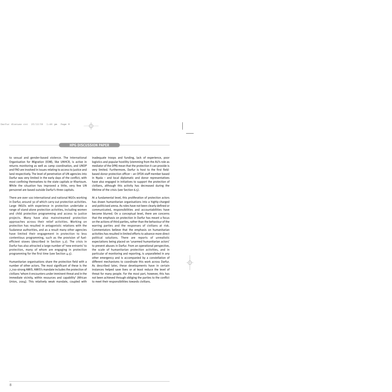to sexual and gender-based violence. The International Organisation for Migration (IOM), like UNHCR, is active in returns monitoring as well as camp coordination, and UNDP and FAO are involved in issues relating to access to justice and land respectively. The level of penetration of UN agencies into Darfur was very limited in the early days of the conflict, with most confining themselves to the state capitals or Khartoum. While the situation has improved a little, very few UN personnel are based outside Darfur's three capitals.

There are over 100 international and national NGOs working in Darfur, around 30 of which carry out protection activities. Large INGOs with experience in protection undertake a range of stand-alone protection activities, including women and child protection programming and access to justice projects. Many have also mainstreamed protection approaches across their relief activities. Working on protection has resulted in antagonistic relations with the Sudanese authorities, and as a result many other agencies have limited their engagement in protection to less contentious programming, such as the provision of fuelefficient stoves (described in Section 3.2). The crisis in Darfur has also attracted a large number of 'new entrants' to protection, many of whom are engaging in protection programming for the first time (see Section 4.5).

Humanitarian organisations share the protection field with a number of other actors. The most significant of these is the 7,700-strong AMIS. AMIS's mandate includes the protection of civilians 'whom it encounters under imminent threat and in the immediate vicinity, within resources and capability' (African Union, 2004). This relatively weak mandate, coupled with inadequate troops and funding, lack of experience, poor logistics and popular hostility (stemming from the AU's role as mediator of the DPA) mean that the protection it can provide is very limited. Furthermore, Darfur is host to the first fieldbased donor protection officer – an OFDA staff member based in Nyala – and local diplomatic and donor representatives have also engaged in initiatives to support the protection of civilians, although this activity has decreased during the lifetime of the crisis (see Section 6.5).

At a fundamental level, this proliferation of protection actors has drawn humanitarian organisations into a highly-charged and politicised arena. As roles have not been clearly defined or communicated, responsibilities and accountabilities have become blurred. On a conceptual level, there are concerns that the emphasis on protection in Darfur has meant a focus on the actions of third parties, rather than the behaviour of the warring parties and the responses of civilians at risk. Commentators believe that the emphasis on humanitarian activities has resulted in limited efforts to advance more direct political solutions. There are reports of unrealistic expectations being placed on 'unarmed humanitarian actors' to prevent abuses in Darfur. From an operational perspective, the scale of humanitarian protection activities, and in particular of monitoring and reporting, is unparalleled in any other emergency and is accompanied by a constellation of different mechanisms to coordinate this work across Darfur. As described later, these developments have in certain instances helped save lives or at least reduce the level of threat for many people. For the most part, however, this has not been achieved through obliging the parties to the conflict to meet their responsibilities towards civilians.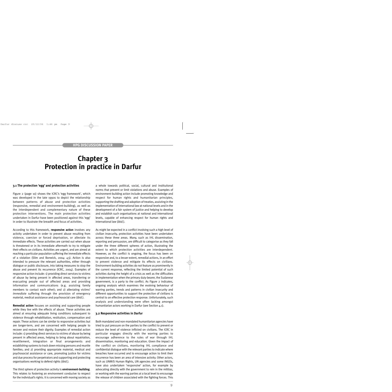### **Chapter 3 Protection in practice in Darfur**

#### **3.1 The protection 'egg' and protection activities**

Figure 2 (page 10) shows the ICRC's 'egg framework', which was developed in the late 1990s to depict the relationship between patterns of abuse and protection activities (responsive, remedial and environment-building), as well as the interdependent and complementary nature of these protection interventions. The main protection activities undertaken in Darfur have been positioned against this 'egg' in order to illustrate the breadth and focus of activities.

According to this framework, **responsive action** involves any activity undertaken in order to prevent abuse resulting from violence, coercion or forced deprivation, or alleviate its immediate effects. These activities are carried out when abuse is threatened or in its immediate aftermath to try to mitigate their effects on civilians. Activities are urgent, and are aimed at reaching a particular population suffering the immediate effects of a violation (Slim and Bonwick, 2004: 43). Action is also intended to pressure the relevant authorities, either through dialogue or public disclosure, into taking measures to stop the abuse and prevent its recurrence (ICRC, 2004). Examples of responsive action include: 1) providing direct services to victims of abuse by being present in affected areas, transferring or evacuating people out of affected areas and providing information and communications (e.g. assisting family members to contact each other); and 2) alleviating victims' *immediate* suffering through the provision of emergency material, medical assistance and psychosocial care (*ibid*.).

**Remedial action** focuses on assisting and supporting people while they live with the effects of abuse. These activities are aimed at ensuring adequate living conditions subsequent to violence through rehabilitation, restitution, compensation and repair. These actions can be similar to *responsive* activities but are longer-term, and are concerned with helping people to recover and restore their dignity. Examples of remedial action include: 1) providing direct services to victims of abuse by being present in affected areas, helping to bring about repatriation, resettlement, integration or final arrangements and establishing systems to track down missing persons and reunite families; and 2) providing appropriate material, medical and psychosocial assistance or care, promoting justice for victims and due process for perpetrators and supporting and protecting organisations working to defend rights (*ibid*.).

The third sphere of protection activity is **environment-building**. This relates to fostering an environment conducive to respect for the individual's rights. It is concerned with moving society as

a whole towards political, social, cultural and institutional norms that prevent or limit violations and abuse. Examples of environment-building action include promoting knowledge and respect for human rights and humanitarian principles, supporting the drafting and adoption of treaties, assisting in the implementation of international law at national levels and in the development of a fair system of justice and helping to develop and establish such organisations at national and international levels, capable of enhancing respect for human rights and international law (*ibid*.).

As might be expected in a conflict involving such a high level of civilian insecurity, protection activities have been undertaken across these three areas. Many, such as IHL dissemination, reporting and persuasion, are difficult to categorise as they fall under the three different spheres of action, illustrating the extent to which protection activities are interdependent. However, as the conflict is ongoing, the focus has been on responsive and, to a lesser extent, remedial actions, in an effort to prevent violence and mitigate its effects on civilians. Environment-building activities do not feature as prominently in the current response, reflecting the limited potential of such activities during the height of a crisis as well as the difficulties in implementation when the primary duty-bearer, the Sudanese government, is a party to the conflict. As Figure 2 indicates, ongoing analysis which examines the evolving behaviour of warring parties, trends and patterns in civilian insecurity and different opportunities to support the protection of civilians is central to an effective protection response. Unfortunately, such analysis and understanding were often lacking amongst humanitarian actors working in Darfur (see Section 4.1).

#### **3.2 Responsive activities in Darfur**

Both mandated and non-mandated humanitarian agencies have tried to put pressure on the parties to the conflict to prevent or reduce the level of violence inflicted on civilians. The ICRC in particular engages directly with the warring parties to encourage adherence to the rules of war through IHL dissemination, monitoring and education. Given the impact of the conflict on civilians, monitoring IHL compliance and confidential dialogue with the relevant parties to indicate where breaches have occurred and to encourage action to limit their recurrence has been an area of intensive activity. Other actors, such as UNMIS Human Rights, UN agencies and some INGOs, have also undertaken 'responsive' action, for example by advocating directly with the government to rein in the militias, or working with the warring parties at a local level to encourage the release of children associated with the fighting forces. This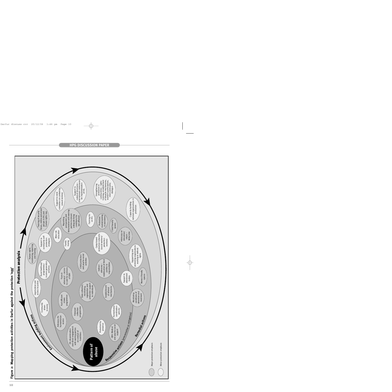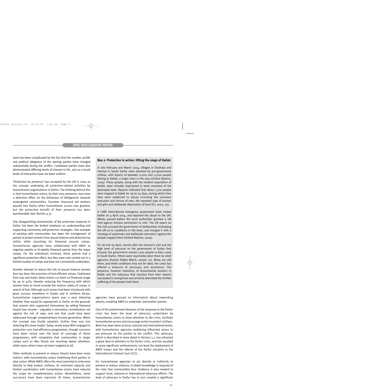work has been complicated by the fact that the number, profile and political allegiance of the warring parties have changed substantially during the conflict. Combatant parties have also demonstrated differing levels of interest in IHL, and as a result levels of interaction have not been uniform.

'Protection by presence' was accepted by the UN in 2004 as the concept underlying all protection-related activities by humanitarian organisations in Darfur. The thinking behind this is that humanitarian actors, by their very presence, may have a deterrent effect on the behaviour of belligerents towards endangered communities. Fourteen thousand aid workers poured into Darfur when humanitarian access was granted, but the protective benefit of their presence has been questionable (see Section 4.3).

One disappointing characteristic of the protection response in Darfur has been the limited emphasis on understanding and supporting community self-protection strategies. One example of working with communities has been the arrangement of patrols to protect women from sexual violence and abduction by militia while searching for firewood around camps. Humanitarian agencies have collaborated with AMIS to organise weekly or bi-weekly firewood patrols from the major camps. For the individuals involved, these patrols had a significant protective effect, but they were only carried out in a limited number of camps and were not consistently undertaken.

Another attempt to reduce the risk of sexual violence women face has been the provision of fuel-efficient stoves. Fashioned from clay and water, these stoves cut down on firewood usage by up to 40%, thereby reducing the frequency with which women have to travel outside the relative safety of camps in search of fuel. Although such stoves had been introduced with great success elsewhere in Sudan and in northern Kenya, humanitarian organisations spent over a year debating whether they would be appropriate in Darfur on the grounds that women who supported themselves by selling firewood would lose income – arguably a secondary consideration set against the risk of rape, and one that could have been addressed through complementary income generation. When the concept was finally adopted, further time was lost selecting the stove model. Today, nearly every NGO engaged in protection runs fuel-efficiency programmes, though concerns have been raised over the level of coverage of these programmes, with complaints that communities in larger camps such as Abu Shouk are receiving repeat attention, while many others have not been targeted at all.

Other methods to prevent or reduce threats have been more indirect, with humanitarian actors mobilising third parties to take action. While AMIS offers the most potential to intervene directly to help protect civilians, its restricted capacity and limited coordination with humanitarian actors have reduced the scope for complementary action. Nonetheless, some successes have been reported. At times, humanitarian

#### **Box 2: Protection in action: lifting the siege of Kailek**

In late February and March 2004, villages in Shattaya and Hamiya in South Darfur were attacked by pro-government militias, with reports of between 11,000 and 13,000 people fleeing to Kailek, a larger town in the area (United Nations, 2004). These people, along with the resident population of Kailek, were virtually imprisoned in what remained of the destroyed town. Reports indicated that about 1,700 people were trapped in Kailek for up to 50 days, during which time they were subjected to abuse including the summary execution and torture of men, the repeated rape of women and girls and deliberate deprivation of food (ICI, 2005: 75).

A CARE International emergency assessment team visited Kailek on 4 April 2004, and reported the abuse to the UN. Weeks passed before the local authorities granted a UN inter-agency mission permission to visit. The UN report on the visit accused the government of deliberately misleading the UN as to conditions in the town, and charged it with a 'strategy of systematic and deliberate starvation' against the people trapped there (United Nations, 2004).

On 28 and 29 April, shortly after the mission's visit and the high level of pressure on the government of Sudan that ensued, the government moved 1,000 people to Kass camp in South Darfur. Others were reportedly taken there by relief agencies (Human Rights Watch, 2005b: 15). Many are still there, and while conditions may not be ideal, the camp has offered a measure of sanctuary and assistance. The presence, however transitory, of humanitarian workers in Kailek and the advocacy that resulted from their reports succeeded in saving lives and certainly alleviated the terrible suffering of the people held there.

agencies have passed on information about impending attacks, enabling AMIS to undertake 'preventive' patrols.

One of the predominant features of the response to the Darfur crisis has been the level of advocacy undertaken by humanitarian actors to draw attention to the crisis, facilitate humanitarian access and encourage action to protect civilians. Work has been done at local, national and international levels, with humanitarian agencies mobilising influential actors to put pressure on the parties to the conflict. This advocacy, which is described in more detail in Section 5.1, has attracted a great deal of attention to the Darfur crisis, and has resulted in some significant achievements, not least the deployment of AMIS troops and the referral of the Darfur situation to the International Criminal Court (ICC).

For humanitarian agencies to act directly or indirectly to prevent or reduce violence, in-depth knowledge is required of the risks that communities face. Evidence is also needed to support local, national or international advocacy efforts. The level of advocacy in Darfur has in turn created a significant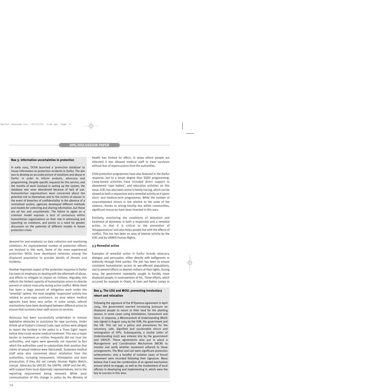#### **Box 3: Information uncertainties in protection**

In early 2005, OCHA launched a 'protection database' to house information on protection incidents in Darfur. The aim was to develop an accurate picture of violations and abuse in Darfur in order to inform analysis, advocacy and programming. Despite specific requests for this service, and the months of work involved in setting up the system, the database was soon abandoned because of lack of use. Humanitarian organisations were concerned about the potential risk to themselves and to the victims of abuses in the event of breaches of confidentiality. In the absence of a centralised system, agencies developed different methods and models for collecting and sharing information, but these are *ad hoc* and unsystematic. The failure to agree on a common model exposes a lack of consensus within humanitarian organisations on their role in witnessing and reporting on violations, and points to a need for greater discussion on the potential of different models in future protection crises.

demand for and emphasis on data collection and monitoring violations. An unprecedented number of protection officers are involved in this work. Some of the more experienced protection NGOs have developed networks among the displaced population to provide details of threats and incidents.

Another important aspect of the protection response in Darfur has been its emphasis on dealing with the aftermath of abuse, and efforts to mitigate its impact on civilians. Arguably, this reflects the limited capacity of humanitarian actors to directly prevent or reduce insecurity during active conflict. While there has been a large amount of mitigation work under the 'remedial' sphere, the most tangible 'responsive' activity has related to post-rape assistance, an area where medical agencies have been very active. In some camps, referral mechanisms have been developed between different actors to ensure that survivors have swift access to services.

Advocacy has been successfully undertaken to remove legislative obstacles to assistance for rape survivors. Under Article 48 of Sudan's Criminal Code, rape victims were obliged to report the incident to the police in a 'Form Eight' report before they could receive medical treatment. This was a major barrier to treatment as victims frequently did not trust the authorities, and rapes were generally not reported (a fact which the authorities used to substantiate their position that claims of sexual violence were fabricated). Sudanese medical staff were also concerned about retaliation from the authorities, including harassment, intimidation and even prosecution, if they did not comply (Human Rights Watch, 2005a). Advocacy by UNICEF, the UNFPA, UNDP and the IRC, with support from local diplomatic representatives, led to the reporting requirement being removed. While poor communication of this change in policy by the Ministry of Health has limited its effect, in areas where people are informed it has allowed medical staff to treat survivors without fear of repercussions from the authorities.

Child protection programmes have also featured in the Darfur response, but to a lesser degree than SGBV programming. Camp-based activities have included direct support to abandoned 'rape babies', and education activities on this issue. ICRC has also been active in family tracing, which can be viewed as both a responsive and a remedial activity as it spans short- and medium-term programmes. While the number of unaccompanied minors is low relative to the scale of the violence, thanks to strong kinship ties within communities, significant resources have been invested in this area.

Similarly, monitoring the conditions of detention and treatment of detainees is both a responsive and a remedial action, in that it is critical to the prevention of 'disappearances' and also helps people live with the effects of conflict. This too has been an area of intense activity by the ICRC and by UNMIS Human Rights.

#### **3.3 Remedial action**

Examples of remedial action in Darfur include advocacy, dialogue and persuasion, either directly with belligerents or indirectly through third parties. The aim has been to ensure consistent humanitarian access to war-affected populations, and to prevent efforts to deprive civilians of their rights. During 2004, the government repeatedly sought to forcibly move displaced people, in contravention of IHL. These efforts, which occurred for example in Otash, Al Geer and Kalma camps in

#### **Box 4: The LOU and MOU: preventing involuntary return and relocation**

Following the signature of the N'Djamena agreement in April 2004, the government exerted increasing pressure on displaced people to return to their land for the planting season, in some cases using intimidation, harassment and force. In response, a Memorandum of Understanding (MoU) was signed in August 2004 by the IOM, the government and the UN. This set out a policy and procedures for the voluntary, safe, dignified and sustainable return and reintegration of IDPs. Subsequently, a similar Letter of Understanding (LoU) was entered into by the government and UNHCR. These agreements also put in place a Management and Coordination Mechanism (MCM) to monitor and verify whether movement adhered to these arrangements. The MoU and LoU were significant protection achievements: only a handful of isolated cases of forced movement were recorded following their signature. Many believe that it was the combination of an agreed mechanism around which to engage, as well as the involvement of local officials in developing and implementing it, which were the key to success in this area.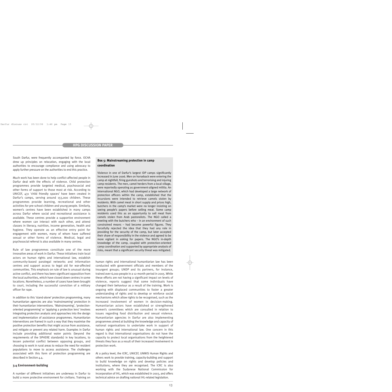South Darfur, were frequently accompanied by force. OCHA drew up principles on relocation, engaging with the local authorities to encourage compliance and using advocacy to apply further pressure on the authorities to end this practice.

Much work has been done to help conflict-affected people in Darfur deal with the effects of violence. Child protection programmes provide targeted medical, psychosocial and other forms of support to those most at risk. According to UNICEF, 431 'child friendly spaces' have been created in Darfur's camps, serving around 155,000 children. These programmes provide learning, recreational and other activities for pre-school children and young people. Similarly, women's centres have been established in many camps across Darfur where social and recreational assistance is available. These centres provide a supportive environment where women can interact with each other, and attend classes in literacy, nutrition, income generation, health and hygiene. They operate as an effective entry point for engagement with women, many of whom have suffered sexual or other forms of violence. Medical, legal and psychosocial referral is also available in many centres.

Rule of law programmes constitute one of the more innovative areas of work in Darfur. These initiatives train local actors on human rights and international law, establish community-based paralegal networks and information centres and support access to legal aid for war-affected communities. This emphasis on rule of law is unusual during active conflict, and there has been significant opposition from the local authorities, which have closed down centres in some locations. Nonetheless, a number of cases have been brought to court, including the successful conviction of a military officer for rape.

In addition to this 'stand-alone' protection programming, many humanitarian agencies are also 'mainstreaming' protection in their humanitarian interventions. 'Mainstreaming', 'protectionoriented programming' or 'applying a protection lens' involves integrating protection analysis and approaches into the design and implementation of assistance programmes. Humanitarian interventions are framed in such a way that they maximise the positive protection benefits that might accrue from assistance, and mitigate or prevent any related harm. Examples in Darfur include providing additional water points (beyond the requirements of the SPHERE standards) in key locations, to lessen potential conflict between opposing groups, and choosing to work in rural areas to reduce the need for resident populations to move to access assistance. The challenges associated with this form of protection programming are described in Section 4.4.

#### **3.4 Environment-building**

A number of different initiatives are underway in Darfur to build a more protective environment for civilians. Training on

#### **Box 5: Mainstreaming protection in camp coordination**

Violence in one of Darfur's largest IDP camps significantly increased in June 2006. Men on horseback were entering the camp at nightfall, firing gunshots and terrorising and injuring camp residents. The men, camel herders from a local village, were reportedly operating as government-aligned militia. An international NGO, which had developed a large network of protection officers within the camp, established that the incursions were intended to retrieve camels stolen by residents. With camel meat in short supply and prices high, butchers in the camp's market were no longer insisting on seeing people's papers before selling meat. Some camp residents used this as an opportunity to sell meat from camels stolen from Arab pastoralists. The NGO called a meeting with the butchers who – in an environment of such constrained means – had become powerful figures. They forcefully rejected the idea that they had any role in providing for the security of the camp, but later accepted their share of responsibility in the violence and agreed to be more vigilant in asking for papers. The NGO's in-depth knowledge of the camp, coupled with protection-oriented camp coordination and supported by appropriate analysis of risks, meant that a significant security threat was mitigated.

human rights and international humanitarian law has been conducted with government officials and members of the insurgent groups; UNDP and its partners, for instance, trained over 6,000 people in a 12-month period in 2005. While these efforts are not having a significant impact on levels of violence, reports suggest that some individuals have changed their behaviour as a result of the training. Work is ongoing with displaced communities to foster a greater understanding of rights and to develop or reinforce social mechanisms which allow rights to be recognised, such as the increased involvement of women in decision-making. Humanitarian actors have established or strengthened women's committees which are consulted in relation to issues regarding food distribution and sexual violence. Humanitarian agencies in Darfur are also implementing programmes aimed at building the knowledge and capacity of national organisations to undertake work in support of human rights and international law. One concern in this regard is that international organisations do not have the capacity to protect local organisations from the heightened threats they face as a result of their increased involvement in protection work.

At a policy level, the ICRC, UNICEF, UNMIS Human Rights and others work to provide training, capacity-building and support to build knowledge on rights and develop policies and institutions, where they are recognised. The ICRC is also working with the Sudanese National Commission for Incorporation of IHL, which was established in 2003, and offers technical advice on drafting national IHL-related legislation.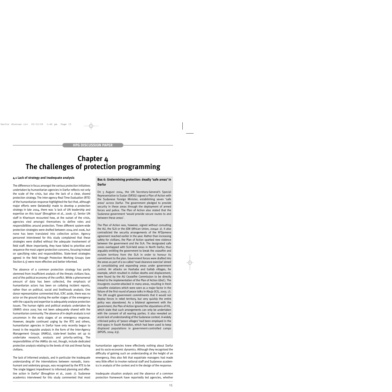### **Chapter 4 The challenges of protection programming**

#### **4.1 Lack of strategy and inadequate analysis**

The difference in focus amongst the various protection initiatives undertaken by humanitarian agencies in Darfur reflects not only the scale of the crisis, but also the lack of a clear, shared protection strategy. The inter-agency Real Time Evaluation (RTE) of the humanitarian response highlighted the fact that, although major efforts were (belatedly) made to develop a protection strategy in late 2004, there was 'a lack of UN leadership and expertise on this issue' (Broughton et al., 2006: 5). Senior UN staff in Khartoum recounted how, at the outset of the crisis, agencies vied amongst themselves to define roles and responsibilities around protection. Three different system-wide protection strategies were drafted between 2004 and 2006, but none has been translated into collective action. Agency personnel interviewed for this study complained that these strategies were drafted without the adequate involvement of field staff. More importantly, they have failed to prioritise and sequence the most urgent protection concerns, focusing instead on specifying roles and responsibilities. State-level strategies agreed in the field through Protection Working Groups (see Section 6.3) were more effective and better informed.

The absence of a common protection strategy has partly stemmed from insufficient analysis of the threats civilians face, and of the political economy of the conflict. While a phenomenal amount of data has been collected, the emphasis of humanitarian actors has been on collating incident reports, rather than on political, social and livelihoods analysis. One donor representative commented that, ICRC aside, there was no actor on the ground during the earlier stages of the emergency with the capacity and expertise to adequately analyse protection issues. The human rights and political analysis undertaken by UNMIS since 2005 has not been adequately shared with the humanitarian community. The absence of in-depth analysis is not uncommon in the early stages of an emergency response. However, despite continued urging by the RTE and others, humanitarian agencies in Darfur have only recently begun to invest in the requisite analysis in the form of the Inter-Agency Management Groups (IAMGs), state-level bodies set up to undertake research, analysis and priority-setting. The responsibilities of the IAMGs do not, though, include dedicated protection analysis relating to the levels of risk and threat facing civilians.

The lack of informed analysis, and in particular the inadequate understanding of the interrelations between nomadic, transhumant and sedentary groups, was recognised by the RTE to be 'the single biggest impediment to informed planning and effective action in Darfur' (Broughton et al., 2006: 7). Sudanese academics interviewed for this study commented that most

#### **Box 6: Undermining protection: deadly 'safe areas' in Darfur**

On 5 August 2004, the UN Secretary-General's Special Representative to Sudan (SRSG) signed a Plan of Action with the Sudanese Foreign Minister, establishing seven 'safe areas' across Darfur. The government pledged to provide security in these areas through the deployment of armed forces and police. The Plan of Action also stated that the Sudanese government 'would provide secure routes to and between these areas'.

The Plan of Action was, however, signed without consulting the AU, the SLA or the JEM (African Union, 2004a: 2). It also contradicted the security arrangements of the N'Djamena agreement reached earlier in the year. Rather than increasing safety for civilians, the Plan of Action sparked new violence between the government and the SLA. The designated safe zones overlapped with SLA-held areas in North Darfur, thus arguably entitling the government to break the ceasefire and reclaim territory from the SLA in order to honour its commitment to the plan. Government forces were drafted into the areas as part of a so-called 'road clearance exercise' aimed at consolidating and expanding areas under government control. Air attacks on Hashaba and Gallab villages, for example, which resulted in civilian deaths and displacement, were found by the AU Ceasefire Commission to be directly linked to the implementation of the Plan of Action (*ibid*.). The insurgents counter-attacked in many areas, resulting in fresh ceasefire violations which were seen as a major factor in the failure of the first round of peace talks in Abuja (ICG, 2005: 7). The UN sought government commitments that it would not deploy forces in rebel territory, but very quickly the entire policy was abandoned. As a bilateral agreement with the government, the Plan of Action ignored the stipulations of IHL, which state that such arrangements can only be undertaken with the consent of all warring parties. It also revealed an acute lack of understanding of the Sudanese context. A widely criticised policy of 'peace villages' had been employed in the mid-1990s in South Kordofan, which had been used to keep displaced populations in government-controlled camps (APGfS, 2004: 63).

humanitarian agencies knew effectively nothing about Darfur and its socio-economic dynamics. Although they recognised the difficulty of gaining such an understanding at the height of an emergency, they also felt that expatriate managers had made very little effort to involve national staff and Sudanese academics in analysis of the context and in the design of the response.

Inadequate situation analysis and the absence of a common protection framework have reportedly led agencies, whether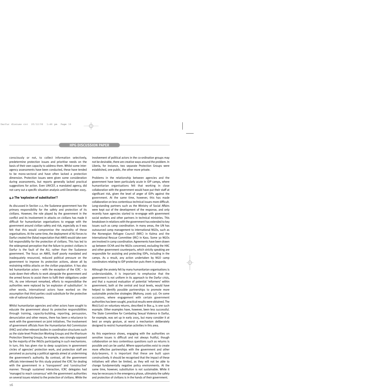consciously or not, to collect information selectively, predetermine protection issues and prioritise needs on the basis of their own capacity to address them. Whilst some interagency assessments have been conducted, these have tended to be mono-sectoral and have often lacked a protection dimension. Protection issues were given some consideration during assessments, but reports generally lacked practical suggestions for action. Even UNICEF, a mandated agency, did not carry out a specific situation analysis until December 2005.

#### **4.2 The 'explosion of substitution'?**

As discussed in Section 2.2, the Sudanese government has the primary responsibility for the safety and protection of its civilians. However, the role played by the government in the conflict and its involvement in attacks on civilians has made it difficult for humanitarian organisations to engage with the government around civilian safety and risk, especially as it was felt that this would compromise the neutrality of these organisations. At the same time, the deployment of AU forces to Darfur created the (false) expectation that AMIS would take over full responsibility for the protection of civilians. This has led to the widespread perception that the failure to protect civilians in Darfur is the fault of the AU, rather than the Sudanese government. The focus on AMIS, itself poorly mandated and inadequately resourced, reduced political pressure on the government to improve its protection actions, above all by restraining militia attacks on the civilian population. It has also led humanitarian actors – with the exception of the ICRC – to scale down their efforts to work alongside the government and the armed forces to assist them to fulfil their obligations under IHL. As one informant remarked, efforts to responsibilise the authorities were replaced by 'an explosion of substitution'. In other words, international actors have worked on the assumption that third parties could substitute for the protective role of national duty-bearers.

Whilst humanitarian agencies and other actors have sought to educate the government about its protective responsibilities through training, capacity-building, reporting, persuasion, denunciation and other means, there has been a reluctance to work with the government on joint initiatives. The involvement of government officials from the Humanitarian Aid Commission (HAC) and other relevant bodies in coordination structures such as the state-level Protection Working Groups and the Khartoum Protection Steering Groups, for example, was strongly opposed by the majority of the INGOs participating in such mechanisms. In turn, this has given rise to deep suspicions in government circles of agencies' protection work, and protection staff are perceived as pursuing a political agenda aimed at undermining the government's authority. By contrast, all the government officials interviewed for this study praised the ICRC for dealing with the government in a 'transparent' and 'constructive' manner. Through sustained interaction, ICRC delegates had 'managed to reach consensus' with the government authorities on several issues related to the protection of civilians. While the involvement of political actors in the co-ordination groups may not be desirable, there are creative ways around the problem. In Liberia, for instance, two separate Protection Groups were established, one public, the other more private.

Problems in the relationship between agencies and the government have been particularly acute in IDP camps, where humanitarian organisations felt that working in close collaboration with the government would have put their staff at significant risk, given the level of anger of IDPs against the government. At the same time, however, this has made collaboration on less contentious technical issues more difficult. Long-standing partners such as the Ministry of Social Affairs were kept out of the development of the response, and only recently have agencies started to re-engage with government social workers and other partners in technical ministries. This breakdown in relations with the government has extended to key issues such as camp coordination. In many areas, the UN has outsourced camp management to international NGOs, such as the Norwegian Refugee Council (NRC) in Kalma and the International Rescue Committee (IRC) in Kass. Some 30 NGOs are involved in camp coordination. Agreements have been drawn up between OCHA and the NGOs concerned, excluding the HAC and other government counterparts, which strictly speaking are responsible for assisting and protecting IDPs, including in the camps. As a result, any action undertaken by NGO camp coordinators relating to IDP protection puts them in jeopardy.

Although the anxiety felt by many humanitarian organisations is understandable, it is important to emphasise that the government is not uniform in its approach to the Darfur crisis, and that a nuanced evaluation of potential 'reformers' within government, both at the central and local levels, would have helped to identify possible partnerships to promote more sustainable protective strategies (Mahony, 2006: 50). On some occasions, where engagement with certain government authorities has been sought, practical results were obtained. The MoU/LoU on voluntary returns, described in Box 4, is one such example. Other examples have, however, been less successful. The State Committee for Combating Sexual Violence in Darfur, for example, was set up in early 2005, but many consider it at best an empty gesture, at worst a mechanism deliberately designed to restrict humanitarian activities in this area.

As this experience shows, engaging with the authorities on sensitive issues is difficult and not always fruitful, though collaboration on less contentious questions such as returns is possible and can be useful. Where opportunities exist to create more effective partnerships with the government and other duty-bearers, it is important that these are built upon constructively. It should be recognised that the impact of these initiatives will often be limited, as they will not be able to change fundamentally negative policy environments. At the same time, however, substitution is not sustainable. While it may be necessary in the emergency phase, ultimately the safety and protection of civilians is in the hands of their government.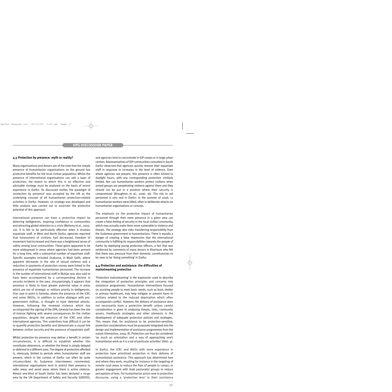#### **4.3 Protection by presence: myth or reality?**

Many organisations and donors are of the view that the simple presence of humanitarian organisations on the ground has protective benefits for the local civilian population. Whilst the presence of international organisations can add a layer of protection, the extent to which this is an effective and advisable strategy must be analysed on the basis of recent experience in Darfur. As discussed earlier, the paradigm of 'protection by presence' was accepted by the UN as the underlying concept of all humanitarian protection-related activities in Darfur. However, no strategy was developed and little analysis was carried out to ascertain the protective potential of this approach.

International presence can have a protective impact by deterring belligerents, inspiring confidence in communities and attracting global attention to a crisis (Mahony et al., 2005: 20). It is felt to be particularly effective when it involves expatriate staff. In West and North Darfur, agencies reported that harassment of civilians had decreased, freedom of movement had increased and there was a heightened sense of safety among local communities. These gains appeared to be more widespread in areas where agencies had been present for a long time, with a substantial number of expatriate staff. Specific examples included Orakuma, in Wadi Salih, where apparent decreases in the rate of sexual violence and a reduction in payments of protection money were linked to the presence of expatriate humanitarian personnel. The increase in the number of international staff in Mukjar was also said to have been accompanied by a corresponding decline in security incidents in the area. Unsurprisingly, it appears that presence is likely to have greater potential value in areas which are not of strategic or military priority to belligerents. One case in point is Gereida, where the presence of the ICRC and some INGOs, in addition to active dialogue with progovernment militias, is thought to have deterred attacks. However, following the renewed violence which has accompanied the signing of the DPA, Gereida has been the site of intense fighting with severe consequences for the civilian population, despite the presence of the ICRC and other international agencies. This underlines how difficult it can be to quantify protection benefits and demonstrate a causal link between civilian security and the presence of expatriate staff.

Whilst protection by presence may deliver a benefit in certain circumstances, it is difficult to establish whether this constitutes deterrence, or whether the threat is simply delayed or deferred to a different area. The degree of protection afforded is, obviously, limited to periods when humanitarian staff are present, which in the context of Darfur can often be quite circumscribed. As Sudanese interviewees commented, international organisations tend to restrict their presence to safer areas and avoid areas where there is active violence. Almost one-third of South Darfur has been declared a no-go area by the UN Department of Safety and Security (UNDSS),

and agencies tend to concentrate in IDP camps or in large urban centres. Representatives of IDP communities consulted in South Darfur observed that agencies quickly remove their expatriate staff in response to increases in the level of violence. Even where agencies are present, this presence is often limited to daylight hours, with any corresponding protection similarly limited. Nor can humanitarian workers protect civilians when armed groups are perpetrating violence against them and they should not be put in a position where their security is compromised (Broughton et al., 2006: 16). The risk to aid personnel is very real in Darfur: in the summer of 2006, 12 humanitarian workers were killed, often in deliberate attacks on humanitarian organisations or convoys.

The emphasis on the protective impact of humanitarian personnel through their mere presence in a given area can create a false feeling of security in the local civilian community, which may actually make them more vulnerable to violence and threats. The strategy also risks transferring responsibility from the Sudanese government to humanitarians. There is equally a danger of creating a false impression that the international community is fulfilling its responsibilities towards the people of Darfur by deploying young protection officers, a fact that was reinforced by comments of many donors in Khartoum who felt that there was pressure from their domestic constituencies to be seen to be 'doing something' in Darfur.

#### **4.4 Protection and assistance: the difficulties of mainstreaming protection**

'Protection mainstreaming' is the expression used to describe the integration of protection principles and concerns into assistance programmes. Humanitarian interventions focused on assisting people to meet basic needs, such as food, shelter or primary healthcare, may help mitigate or prevent harm to civilians related to the induced deprivation which often accompanies conflict. However, the delivery of assistance does not necessarily have a protective benefit unless careful consideration is given to analysing threats, risks, community assets, livelihoods strategies and other elements in the development of adequate protection policies and strategies. This means that, for assistance to be protection-sensitive, protection considerations must be purposely integrated into the design and implementation of assistance programmes from the outset (Interaction, 2004: 8). Protection can thus be considered 'as much an orientation and a way of approaching one's humanitarian work as it is a set of particular activities' (*ibid*.: 4).

In Darfur, the ICRC and NGOs with more experience in protection have prioritised protection in their delivery of humanitarian assistance. This approach has determined how and where they work, resulting for instance in the targeting of remote rural areas to reduce the flow of people to camps, or greater engagement with Arab pastoralist groups to reduce perceptions of bias. For humanitarian actors new to protection discourse, using a 'protection lens' in their assistance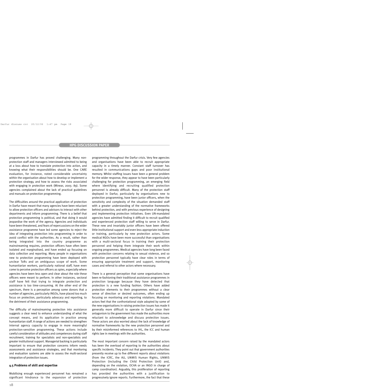programmes in Darfur has proved challenging. Many nonprotection staff and managers interviewed admitted to being at a loss about how to translate protection into action, and knowing what their responsibilities should be. One CARE evaluation, for instance, noted considerable uncertainty within the organisation about how to develop or implement a protection strategy, and how to assess the risks associated with engaging in protection work (Minear, 2005: 89). Some agencies complained about the lack of practical guidelines and manuals on protection programming.

The difficulties around the practical application of protection in Darfur have meant that many agencies have been reluctant to allow protection officers and advisors to interact with other departments and inform programming. There is a belief that protection programming is political, and that doing it would jeopardise the work of the agency. Agencies and individuals have been threatened, and fears of repercussions on the wider assistance programme have led some agencies to reject the idea of integrating protection into programming in order to avoid conflict with the authorities. As a result, rather than being integrated into the country programme as mainstreaming requires, protection officers have often been isolated and marginalised, and have ended up focusing on data collection and reporting. Many people in organisations new to protection programming have been deployed with unclear ToRs and an ambiguous scope of work. Some humanitarian workers, particularly national staff, have even come to perceive protection officers as spies, especially where agencies have been less open and clear about the role these officers were meant to perform. In other instances, sectoral staff have felt that trying to integrate protection and assistance is too time-consuming. At the other end of the spectrum, there is a perception among some donors that a number of agencies, particularly INGOs, have placed too much focus on protection, particularly advocacy and reporting, to the detriment of their assistance programming.

The difficulty of mainstreaming protection into assistance suggests a clear need to enhance understanding of what the concept means, and its application in practice among humanitarian staff. A range of actions are needed to strengthen internal agency capacity to engage in more meaningful protection-sensitive programming. These actions include careful consideration of attitudes and competences during staff recruitment, training for specialists and non-specialists and greater institutional support. Managerial backing is particularly important to ensure that protection concerns inform needs assessments and assistance strategies, and that monitoring and evaluation systems are able to assess the multi-sectoral integration of protection issues.

#### **4.5 Problems of skill and expertise**

Mobilising enough experienced personnel has remained a significant hindrance to the expansion of protection programming throughout the Darfur crisis. Very few agencies and organisations have been able to recruit appropriate capacity in a timely manner. Constant staff turnover has resulted in communications gaps and poor institutional memory. Whilst staffing issues have been a general problem for the wider response, they appear to have been particularly challenging for protection programming, an emerging field where identifying and recruiting qualified protection personnel is already difficult. Many of the protection staff deployed in Darfur, particularly by organisations new to protection programming, have been junior officers, when the sensitivity and complexity of the situation demanded staff with a greater understanding of the normative frameworks behind protection, and with previous experience of designing and implementing protection initiatives. Even UN-mandated agencies have admitted finding it difficult to recruit qualified and experienced protection staff willing to serve in Darfur. These new and invariably junior officers have been offered little institutional support and even less appropriate induction or training, particularly by new protection actors. Some medical NGOs have been more successful than organisations with a multi-sectoral focus in training their protection personnel and helping them integrate their work within ongoing programmes. Medical agencies have long been faced with protection concerns relating to sexual violence, and so protection personnel typically have clear roles in terms of ensuring appropriate treatment and support, monitoring cases and referral to other actors where necessary.

There is a general perception that some organisations have been re-fashioning their traditional assistance programmes in protection language because they have detected that protection is a new funding fashion. Others have added protection elements to their programmes without a clear sense of direction or desired outcomes, often ending up focusing on monitoring and reporting violations. Mandated actors feel that the confrontational style adopted by some of the new organisations in raising protection issues has made it generally more difficult to operate in Darfur since their antagonism to the government has made the authorities more reluctant to acknowledge and discuss protection issues. These actors are also worried about the lack of knowledge of normative frameworks by the new protection personnel and by their misinformed references to IHL, the ICC and human rights law in meetings with the authorities.

The most important concern raised by the mandated actors has been the overload of reporting to the authorities about specific incidents. They point out that government authorities presently receive up to five different reports about violations (from the ICRC, the AU, UNMIS Human Rights, UNMIS Protection (including the Child Protection Unit) and, depending on the violation, OCHA or an INGO in charge of camp coordination). Arguably, this proliferation of reporting has provided the authorities with a justification to progressively ignore reports. Furthermore, the fact that these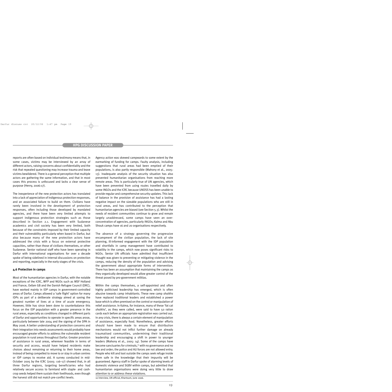reports are often based on individual testimony means that, in some cases, victims may be interviewed by an array of different actors, raising concerns about confidentiality and the risk that repeated questioning may increase trauma and leave victims bewildered. There is a general perception that multiple actors are gathering the same information, and that in most cases this process is unfocused and lacks a clear sense of purpose (Henry, 2006:17).

The inexperience of the new protection actors has translated into a lack of appreciation of indigenous protection responses, and an associated failure to build on them. Civilians have rarely been involved in the development of protection responses, often including those developed by mandated agencies, and there have been very limited attempts to support indigenous protection strategies such as those described in Section 2.1. Engagement with Sudanese academics and civil society has been very limited, both because of the constraints imposed by their limited capacity and their vulnerability particularly when based in Darfur, but also because many of the new protection actors have addressed the crisis with a focus on external protective capacities, rather than those of civilians themselves, or other Sudanese. Senior national staff who have been operating in Darfur with international organisations for over a decade spoke of being sidelined in internal discussions on protection and reporting, especially in the early stages of the crisis.

#### **4.6 Protection in camps**

Most of the humanitarian agencies in Darfur, with the notable exceptions of the ICRC, WFP and NGOs such as MSF Holland and France, Oxfam GB and the Danish Refugee Council (DRC), have worked mainly in IDP camps in government-controlled areas of Darfur. Camps allowed a 'safe flight' option for many IDPs as part of a deliberate strategy aimed at saving the greatest number of lives at a time of acute emergency. However, little has since been done to counterbalance this focus on the IDP population with a greater presence in the rural areas, especially as conditions changed in different parts of Darfur and opportunities to operate in specific areas arose, particularly between late 2004 and the signing of the DPA in May 2006. A better understanding of protection concerns and their integration into needs assessments would probably have encouraged greater efforts to address the vulnerable resident population in rural areas throughout Darfur. Greater provision of assistance in rural areas, wherever feasible in terms of security and access, would have helped residents make choices about remaining or returning to their home areas, instead of being compelled to move to or stay in urban centres or IDP camps to receive aid. A survey conducted in mid-October 2005 by the ICRC (2005: 116–17) showed that, in all three Darfur regions, targeting beneficiaries who had relatively secure access to farmland with staple- and cashcrop seeds helped them sustain their livelihoods, even though the harvest still did not match pre-conflict levels.

Agency action was skewed campwards to some extent by the earmarking of funding for camps. Faulty analysis, including suggestions that rural areas had been emptied of their populations, is also partly responsible (Mahony et al., 2005: 13). Inadequate analysis of the security situation has also prevented humanitarian organisations from reaching more remote areas. This is particularly true of UN agencies, which have been prevented from using routes travelled daily by some INGOs and the ICRC because UNDSS has been unable to provide regular and comprehensive security updates. This lack of balance in the provision of assistance has had a lasting negative impact on the sizeable populations who are still in rural areas, and has contributed to the perception that humanitarian agencies are biased (see Section 5.3). Whilst the needs of resident communities continue to grow and remain largely unaddressed, some camps have seen an overconcentration of agencies, particularly INGOs; Kalma and Abu Shouk camps have 16 and 20 organisations respectively.

The absence of a strategy governing the progressive encampment of the civilian population, the lack of site planning, ill-informed engagement with the IDP population and shortfalls in camp management have contributed to volatility in the camps, which now poses significant risks to NGOs. Senior UN officials have admitted that insufficient thought was given to preventing or mitigating violence in the camps, reducing the density of the population and advising the government about appropriate forms of intervention. There has been an assumption that maintaining the camps as they organically developed would allow greater control of the threat posed by pro-government militias.

Within the camps themselves, a self-appointed and often highly politicised leadership has emerged, which is often abusive towards camp inhabitants. These new camp *shaikhs* have replaced traditional leaders and established a power base which is often premised on the control or manipulation of relief assistance. In Kalma, for instance, many of these 'fat cat *shaikhs*', as they were called, were said to have 50 ration cards each before an appropriate registration was carried out. In any crisis, there is always a certain element of manipulation of assistance, especially food. Nonetheless, greater efforts should have been made to ensure that distribution mechanisms would not inflict further damage on already traumatised communities, undermining their traditional leadership and encouraging a shift in power to younger leaders (Mahony et al., 2005: 14). Some of the camps have become sanctuaries for criminals,<sup>10</sup> with no governance and no law and order; the police and AU forces are not allowed entry. People who kill and loot outside the camps seek refuge inside them safe in the knowledge that their impunity will be guaranteed. Agency staff in Darfur spoke of alarming levels of domestic violence and SGBV within camps, but admitted that humanitarian organisations were doing very little to draw attention to or address these violations.

10 Interview, UN official, Khartoum, June 2006.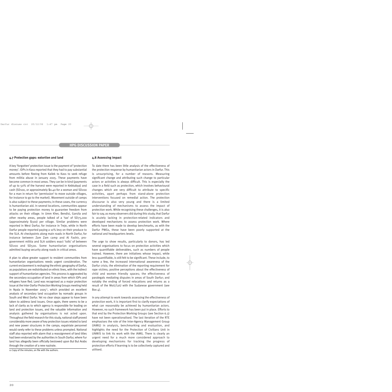#### **4.7 Protection gaps: extortion and land**

A key 'forgotten' protection issue is the payment of 'protection money'. IDPs in Kass reported that they had to pay substantial amounts before fleeing from Kailek to Kass to seek refuge from militia abuse in January 2005. These payments have become common in most areas. They can be in kind (payments of up to 50% of the harvest were reported in Kebkabya) and cash (SD100, or approximately \$0.40 for a woman and SD200 for a man in return for 'permission' to move outside villages, for instance to go to the market). Movement outside of camps is also subject to these payments; in these cases, the currency is humanitarian aid. In several locations, communities appear to be paying protection money to guarantee freedom from attacks on their village. In Umm Kher, Bendisi, Garsila and other nearby areas, people talked of a 'tax' of SD75,000 (approximately \$300) per village. Similar problems were reported in West Darfur, for instance in Treje, while in North Darfur people reported paying a 10% levy on their produce to the SLA. At checkpoints along main roads in North Darfur, for instance between Zam Zam camp and Al Fashir, progovernment militia and SLA soldiers exact 'tolls' of between SD200 and SD500. Some humanitarian organisations admitted buying security along roads in critical areas.

A plan to allow greater support to resident communities from humanitarian organisations needs urgent consideration. The current enclavement is reshaping the ethnic geography of Darfur, as populations are redistributed on ethnic lines, with the indirect support of humanitarian agencies. This process is aggravated by the secondary occupation of land in areas from which IDPs and refugees have fled. Land was recognised as a major protection issue at the Inter-Darfur Protection Working Groups meeting held in Nyala in November 2005 $11$ , which provided an excellent analysis of secondary land occupation by nomadic groups in South and West Darfur. Yet no clear steps appear to have been taken to address land issues. Once again, there seems to be a lack of clarity as to which agency is responsible for leading on land and protection issues, and the valuable information and analysis gathered by organisations is not acted upon. Throughout the field research for this study, national staff proved considerably more aware of key protection issues related to land and new power structures in the camps; expatriate personnel would rarely refer to these problems unless prompted. National staff also reported with alarm that a reassignment of land titles had been endorsed by the authorities in South Darfur, where Fur land has allegedly been officially bestowed upon Bul Bul Arabs through the creation of a new nazirate.

#### **4.8 Assessing impact**

To date there has been little analysis of the effectiveness of the protection response by humanitarian actors in Darfur. This is unsurprising, for a number of reasons. Measuring significant change and attributing such change to particular actors or activities is always difficult. This is especially the case in a field such as protection, which involves behavioural changes which are very difficult to attribute to specific activities, apart perhaps from stand-alone protection interventions focused on remedial action. The protection discourse is also very young and there is a limited understanding of mechanisms to assess the impact of protection work. While recognising these challenges, it is also fair to say, as many observers did during this study, that Darfur is acutely lacking in protection-related indicators and developed mechanisms to assess protection work. Where efforts have been made to develop benchmarks, as with the Darfur PWGs, these have been poorly supported at the national and headquarters levels.

The urge to show results, particularly to donors, has led several organisations to focus on protection activities which have quantifiable deliverables, such as numbers of people trained. However, there are initiatives whose impact, while less quantifiable, is still felt to be significant. These include, to name a few, the increased international awareness of the Darfur crisis; the elimination of the reporting requirement for rape victims; positive perceptions about the effectiveness of child and women friendly spaces; the effectiveness of paralegals mediating disputes in areas of South Darfur; and notably the ending of forced relocations and returns as a result of the MoU/LoU with the Sudanese government (see Box  $4$ ).

In any attempt to work towards assessing the effectiveness of protection work, it is important first to clarify expectations of what can reasonably be achieved by humanitarian actors. However, no such framework has been put in place. Efforts to that end by the Protection Working Groups (see Section 6.3) have not been operationalised. The last iteration of the RTE emphasises the role of the Inter-Agency Management Group (IAMG) in analysis, benchmarking and evaluation, and highlights the need for the Protection of Civilians Unit in UNMIS to link its work with the IAMG. There is clearly an urgent need for a much more considered approach to developing mechanisms for tracking the progress of protection efforts if learning is to be collectively captured and utilised.

<sup>11</sup> Copy of the minutes, on file with the authors.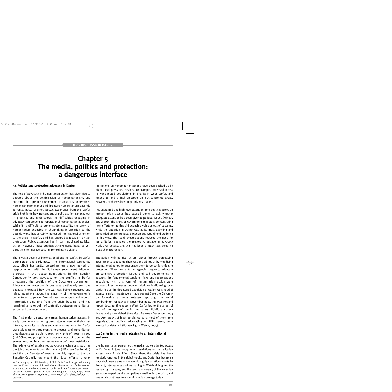### **Chapter 5 The media, politics and protection: a dangerous interface**

#### **5.1 Politics and protection advocacy in Darfur**

The role of advocacy in humanitarian action has given rise to debates about the politicisation of humanitarianism, and concerns that greater engagement in advocacy undermines humanitarian principles and threatens humanitarian space (de Torrente, 2004; O'Brien, 2004). Experience from the Darfur crisis highlights how perceptions of politicisation can play out in practice, and underscores the difficulties engaging in advocacy can present for operational humanitarian agencies. While it is difficult to demonstrate causality, the work of humanitarian agencies in channelling information to the outside world has certainly increased international attention to the crisis in Darfur, and has ensured a focus on civilian protection. Public attention has in turn mobilised political action. However, these political achievements have, as yet, done little to improve security for ordinary civilians.

There was a dearth of information about the conflict in Darfur during 2003 and early 2004. The international community was, albeit hesitantly, embarking on a new period of rapprochement with the Sudanese government following progress in the peace negotiations in the south.12 Consequently, *any* advocacy on the conflict in Darfur threatened the position of the Sudanese government. Advocacy on protection issues was particularly sensitive because it exposed how the war was being conducted and raised questions about the sincerity of the government's commitment to peace. Control over the amount and type of information emerging from the crisis became, and has remained, a major point of contention between humanitarian actors and the government.

The first major dispute concerned humanitarian access. In early 2004, when air and ground attacks were at their most intense, humanitarian visas and customs clearances for Darfur were taking up to three months to process, and humanitarian organisations were able to reach only 15% of those in need (UN OCHA, 2004). High-level advocacy, most of it behind the scenes, resulted in a progressive easing of these restrictions. The existence of established advocacy mechanisms, such as the Joint Implementation Mechanism (JIM – see Section 6.5) and the UN Secretary-General's monthly report to the UN Security Council, has meant that local efforts to relax

12 For example, then US Secretary of State Colin Powell suggested in 2003 that the US would renew diplomatic ties and lift sanctions if Sudan reached a peace accord on the north–south conflict and took further action against terrorism. Powell, quoted in ICJ's Chronology of Darfur, http://www. africaaction.org/resources/darfur\_chronology/CIJ\_Complete\_Darfur\_Chron ology.pdf.

restrictions on humanitarian access have been backed up by higher-level pressure. This has, for example, increased access to war-affected populations in Shar'ia in West Darfur, and helped to end a fuel embargo on SLA-controlled areas. However, problems have regularly resurfaced.

The sustained and high-level attention from political actors on humanitarian access has caused some to ask whether adequate attention has been given to political issues (Minear, 2005: 101). The sight of government ministers concentrating their efforts on getting aid agencies' vehicles out of customs, while the situation in Darfur was at its most alarming and demanded greater political engagement, would lend credence to this view. That said, these actions reduced the need for humanitarian agencies themselves to engage in advocacy work over access, and this has been a much less sensitive issue than protection.

Interaction with political actors, either through persuading governments to take up their responsibilities or by mobilising international actors to encourage them to do so, is critical to protection. When humanitarian agencies began to advocate on sensitive protection issues and call governments to account, the fundamental tensions, risks and repercussions associated with this form of humanitarian action were exposed. Press releases decrying 'diplomatic dithering' over Darfur led to the threatened expulsion of Oxfam GB's head of agency; similar threats were made against Save the Children-UK following a press release reporting the aerial bombardment of Tawila in November 2004. An MSF-Holland report documenting rape in West Darfur led to the arrest of two of the agency's senior managers. Public advocacy dramatically diminished thereafter. Between December 2004 and April 2005, at least 20 aid workers, most of them from organisations publicly advocating on IDP issues, were arrested or detained (Human Rights Watch, 2005).

#### **5.2 Darfur in the media: playing to an international audience**

Like humanitarian personnel, the media had very limited access to Darfur until June 2004, when restrictions on humanitarian access were finally lifted. Since then, the crisis has been regularly reported in the global media, and Darfur has become a household name around the world. Highly evocative reports by Amnesty International and Human Rights Watch highlighted the human rights issues, and the tenth anniversary of the Rwandan genocide helped build a compelling storyline for the crisis, and one which continues to underpin media coverage today.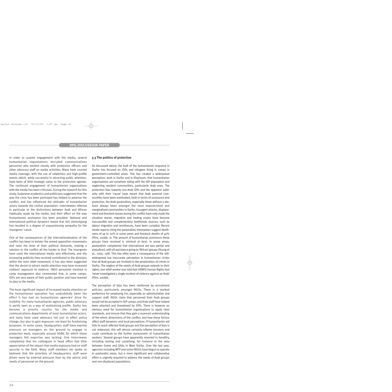In order to sustain engagement with the media, several humanitarian organisations recruited communications personnel who worked closely with protection officers and other advocacy staff on media activities. Many have courted media coverage, with the use of celebrities and high-profile events which, while successful in attracting public attention, have been of little strategic value to the protection agenda. The continued engagement of humanitarian organisations with the media has been criticised. During the research for this study, Sudanese academics and politicians suggested that the way the crisis has been portrayed has helped to polarise the conflict, and has influenced the attitudes of humanitarian actors towards the civilian population. Interviewees referred in particular to the distinctions between Arab and African habitually made by the media, and their effect on the way humanitarian assistance has been provided. National and international political dynamics meant that this stereotyping has resulted in a degree of unquestioning sympathy for the insurgents' cause.

One of the consequences of the internationalisation of the conflict has been to bolster the armed opposition movements and raise the level of their political demands, making a solution to the conflict all the harder to find. The insurgents have used the international media very effectively, and the increasing publicity they received contributed to the divisions within the main rebel movement. It has also been suggested that the desire to attract media attention may have increased civilians' exposure to violence. INGO personnel involved in camp management also commented that, in some camps, IDPs are very aware of their public position and have learned to play to the media.

The most significant impact of increased media attention on the humanitarian operation has undoubtedly been the effect it has had on humanitarian agencies' drive for visibility. For many humanitarian agencies, public advocacy is partly seen as a way of maintaining profile. Darfur has become a priority country for the media and communications departments of most humanitarian actors, and many have used advocacy not just to effect policy change, but also to gain exposure, not least for fundraising purposes. In some cases, headquarters staff have exerted pressure on managers on the ground to engage in protection work, especially around SGBV, for which these managers felt expertise was lacking. One interviewee complained that his colleagues in head office had little appreciation of the impact that media exposure had on staff security in the field. Many staff members we spoke to believed that the priorities of headquarters staff were driven more by external pressure than by the advice and needs of personnel on the ground.

#### **5.3 The politics of protection**

As discussed above, the bulk of the humanitarian response in Darfur has focused on IDPs and refugees living in camps in government-controlled areas. This has created a widespread perception, both in Darfur and in Khartoum, that humanitarian organisations are somehow siding with the IDP population and neglecting resident communities, particularly Arab ones. The protection bias towards non-Arab IDPs and the apparent solidarity with their 'cause' have meant that Arab pastoral communities have been overlooked, both in terms of assistance and protection. Yet Arab pastoralists, especially those without a *dar*, have always been amongst the most impoverished and marginalised communities in Darfur. Insurgent attacks, displacement and livestock losses during the conflict have only made the situation worse; migration and trading routes have become inaccessible and complementary livelihoods sources, such as labour migration and remittances, have been curtailed. Recent media reports citing the pastoralists themselves suggest deathrates of up to 20% in some areas and livestock deaths of 40% (Flint, 2006b: 2). The amount of humanitarian assistance these groups have received is minimal at best. In some areas, pastoralists complained that international aid was partial and prejudiced, with all assistance going to 'African' groups (Young et al., 2005: 158). This has often been a consequence of the stillwidespread but inaccurate perception in humanitarian circles that all Arab groups are involved in the perpetration of crimes in Darfur. The neglect of the needs of Arab groups extends to their rights; one relief worker was told that UNMIS Human Rights had 'never investigated a single incident of violence against an Arab' (Flint, 2006b).

The perception of bias has been reinforced by recruitment policies, particularly amongst NGOs. There is a marked preference for employing Fur, especially as administrative and support staff. NGOs claim that personnel from Arab groups would not be accepted in IDP camps, and Arab staff have indeed been attacked and threatened by IDPs. There is however an obvious need for humanitarian organisations to apply clear standards, and ensure that they gain a nuanced understanding of the ethnic dimensions of the conflict, and how these factors affect staff dynamics and local perceptions. If humanitarian aid fails to reach affected Arab groups and the perception of bias is not redressed, this will almost certainly inflame tensions and could contribute to the further harassment of humanitarian workers. Several groups have apparently resorted to banditry, including looting and carjacking, for instance in the area between Gome and Gildu in West Darfur. Over the last year, agencies including WFP and some INGOs have begun to operate in pastoralist areas, but a more significant and collaborative effort is urgently required to address the needs of Arab groups and non-displaced populations.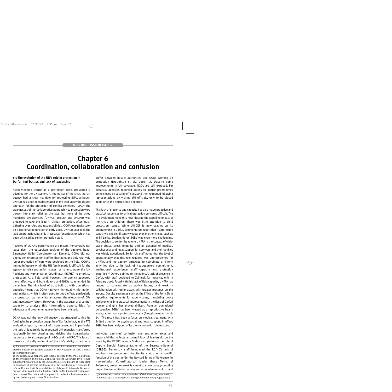### **Chapter 6 Coordination, collaboration and confusion**

#### **6.1 The evolution of the UN's role in protection in Darfur: turf battles and lack of leadership**

Acknowledging Darfur as a protection crisis presented a dilemma for the UN system. At the outset of the crisis, no UN agency had a clear mandate for protecting IDPs, although UNHCR has since been designated as the lead under the cluster approach for the protection of conflict-generated IDPs.13 The weaknesses of the 'collaborative approach'14 to protection were thrown into stark relief by the fact that none of the three mandated UN agencies (UNHCR, UNICEF and OHCHR) was prepared to take the lead in civilian protection. After much dithering over roles and responsibilities, OCHA eventually took on a coordinating function in early 2004. UNHCR later took the lead on protection, but only in West Darfur, a decision which has been criticised by senior protection staff.

Reviews of OCHA's performance are mixed. Remarkably, not least given the outspoken position of the agency's head, Emergency Relief Coordinator Jan Egeland, OCHA did not deploy senior protection staff to Khartoum, and only relatively junior protection officers were deployed to the field. OCHA's limited influence within the UN family made it difficult for the agency to raise protection issues, or to encourage the UN Resident and Humanitarian Coordinator (RC/HC) to prioritise protection. At a field level, however, the agency appeared more effective, and both donors and NGOs commended its dynamism. The high level of trust built up with operational agencies meant that OCHA had very high-quality information and analysis, which it often used to good effect, particularly on issues such as humanitarian access, the relocation of IDPs and involuntary return. However, in the absence of a central capacity to analyse this information, opportunities for advocacy and programming may have been missed.

OCHA was not the only UN agency that struggled to find its footing in the protection quagmire of Darfur. In fact, as the RTE evaluation reports, the lack of UN presence, and in particular the lack of leadership by mandated UN agencies, transferred responsibility for shaping and driving the humanitarian response onto a core group of INGOs and the ICRC. This lack of presence critically undermined the UN's ability to act as a buffer between hostile authorities and NGOs working on protection (Broughton et al., 2006: 5). Despite some improvements in UN coverage, NGOs are still exposed. For instance, agencies reported access to justice programmes being closed by security officials, and then reopened following representations by visiting UN officials, only to be closed again once the officials had departed.

This lack of presence and capacity has also made proactive and practical responses to critical protection concerns difficult. The RTE evaluation highlights how, despite the appalling impact of the crisis on children, there was little attention to child protection issues. While UNICEF is now scaling up its programming in Darfur, commentators report that its protection capacity is still significantly weaker than in other crises, such as in Sri Lanka. Leadership on SGBV was even more challenging. The decision to confer the role to UNFPA in the context of widescale abuse, gross impunity and an absence of medical, psychosocial and legal support for survivors and their families was widely questioned. Senior UN staff noted that the level of operationality that this role required was unprecedented for UNFPA, and the agency 'struggled to coordinate or inform activities due to its lack of headquarters commitment, institutional experience, staff capacity and protection expertise'.15 Others pointed to the agency's lack of presence in Darfur, with staff deployed to Zalingei, for instance, only in February 2006. Faced with this lack of field capacity, UNFPA has tended to concentrate on policy issues, and work in collaboration with other actors with greater presence on the ground. Despite successes such as the lifting of the Form Eight reporting requirements for rape victims, translating policy achievements into practical improvements in the lives of Darfuri women and girls has proved difficult. From an operational perspective, SGBV has been viewed as a reproductive health issue, rather than a protection concern (Broughton et al., 2006: 65). The result has been a focus on medical treatment, with limited attention to psychosocial and legal support. In effect, SGBV has been stripped of its thorny protection dimensions.

Individual agencies' confusion over protection roles and responsibilities reflects an overall lack of leadership on the issue by the RC/HC, who in Sudan also performs the role of Deputy Special Representative of the Secretary-General (DSRSG). Senior UN staff bemoaned the RC/HC's lack of emphasis on protection, despite its status as a specific function of the post under the Revised Terms of Reference for Humanitarian Co-ordinators.16 Under these Terms of Reference, protection work is meant to encompass promoting respect for humanitarian access and other elements of IHL and

15 Interview with senior UN humanitarian official, Khartoum, June 2006. 16 Adopted by the Inter-Agency Standing Committee on 29 August 2003.

<sup>13</sup> For more discussion of UNHCR's cluster lead on protection, see UNHCR, Working Session on Building Capacity for the Protection of IDPs, Geneva, 14–16 December 2005.

<sup>14</sup> The collaborative response was initially outlined by the IASC in its Policy on the Protection of Internally Displaced Persons (December 1999). It was subsequently reaffirmed by the IASC as the preferred means of responding to situations of internal displacement in the Supplementary Guidance to HCs and/or on their Responsibilities in Relation to Internally Displaced Persons (April 2000) and the Guidance Note on the Collaborative Approach (March 2003). The collaborative approach to protection has been replaced by the cluster approach in conflict situations.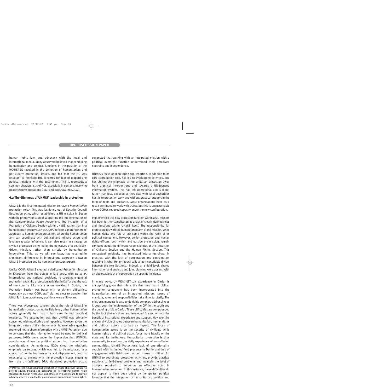human rights law, and advocacy with the local and international media. Many observers believed that combining humanitarian and political functions in the position of the HC/DSRSG resulted in the demotion of humanitarian, and particularly protection, issues, and felt that the HC was reluctant to highlight IHL concerns for fear of jeopardising political relations with the government. This is reportedly a common characteristic of HCs, especially in contexts involving peacekeeping operations (Paul and Bagshaw, 2004: 44).

#### **6.2 The dilemmas of UNMIS' leadership in protection**

UNMIS is the first integrated mission to have a *humanitarian* protection role.17 This was fashioned out of Security Council Resolution 1590, which established a UN mission in Sudan with the primary function of supporting the implementation of the Comprehensive Peace Agreement. The inclusion of a Protection of Civilians Section within UNMIS, rather than in a humanitarian agency such as OCHA, reflects a more 'coherent' approach to humanitarian protection, where the humanitarian arm can coordinate with political and military actors and leverage greater influence. It can also result in strategy on civilian protection being led by the objectives of a politicallydriven mission, rather than strictly by humanitarian imperatives. This, as we will see later, has resulted in significant differences in interest and approach between UNMIS Protection and its humanitarian counterparts.

Unlike OCHA, UNMIS created a dedicated Protection Section in Khartoum from the outset in late 2005, with up to 15 international and national positions, to coordinate general protection and child protection activities in Darfur and the rest of the country. Like many actors working in Sudan, the Protection Section was beset with recruitment difficulties, especially as most OCHA staff did not elect to transfer into UNMIS; in June 2006 many positions were still vacant.

There was widespread concern about the role of UNMIS in humanitarian protection. At the field level, other humanitarian actors generally felt that it had very limited practical relevance. The assumption was that UNMIS was primarily concerned with monitoring and reporting. However, given the integrated nature of the mission, most humanitarian agencies preferred not to share information with UNMIS Protection due to concerns that this information would be used for political purposes. NGOs were under the impression that UNMIS's agenda was driven by political rather than humanitarian considerations. As evidence, NGOs cited the mission's emphasis on returns, which was felt to be misplaced in a context of continuing insecurity and displacement, and its reluctance to engage with the protection issues emerging from the UN-facilitated DPA. Mandated protection actors suggested that working with an integrated mission with a political oversight function undermined their perceived neutrality and independence.

UNMIS's focus on monitoring and reporting, in addition to its core coordination role, has led to overlapping activities, and has shifted the emphasis of humanitarian protection away from practical interventions and towards a UN-focused information system. This has left operational actors more, rather than less, exposed as they deal with local authorities hostile to protection work and without practical support in the form of tools and guidance. Most organisations have as a result continued to work with OCHA, but this is unsustainable given OCHA's reduced capacity under the new configuration.

Implementing this new protection function within a UN mission has been further complicated by a lack of clearly defined roles and functions within UNMIS itself. The responsibility for protection lies with the humanitarian arm of the mission, while human rights and rule of law come within the remit of its political component. However, senior protection and human rights officers, both within and outside the mission, remain confused about the different responsibilities of the Protection of Civilians Section and the Human Rights Section. This conceptual ambiguity has translated into a tug-of-war in practice, with the lack of cooperation and coordination resulting in what Henry (2006) calls a 'non-negotiable divide' between the two Sections. Indeed, at a field level, shared information and analysis and joint planning were absent, with an observable lack of cooperation on specific incidents.

In many ways, UNMIS's difficult experience in Darfur is unsurprising given that this is the first time that a civilian protection component has been incorporated into the humanitarian arm of an integrated mission. Issues of mandate, roles and responsibilities take time to clarify. The mission's mandate is also undeniably complex, addressing as it does both the implementation of the CPA in the south and the ongoing crisis in Darfur. These difficulties are compounded by the fact that missions are developed *in situ*, without the benefit of institutional experience and support. However, the unclear division of roles between humanitarian, human rights and political actors also has an impact. The focus of humanitarian actors is on the security of civilians, while human rights and political actors focus more heavily on the state and its institutions. Humanitarian protection is thus necessarily focused on the daily experience of war-affected communities. UNMIS Protection's lack of operationality, coupled with its limited field presence in Darfur and lack of engagement with field-based actors, makes it difficult for UNMIS to coordinate protection activities, provide practical solutions to field-based problems and maintain the level of analysis required to serve as an effective actor in humanitarian protection. In this instance, these difficulties do not appear to have been offset by the greater political leverage that the integration of humanitarian, political and

<sup>17</sup> MONUC in DRC has a Human Rights Section whose objectives include 'to provide advice, training and assistance on international human rights standards to human rights NGOs and others in civil society and to provide advisory services related to the promotion and protection of human rights'.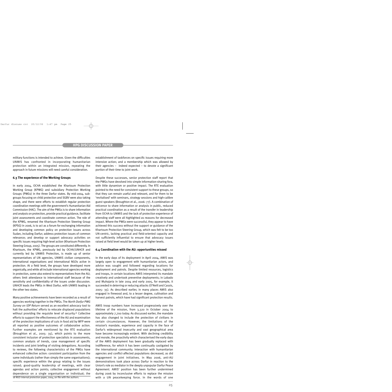military functions is intended to achieve. Given the difficulties UNMIS has confronted in incorporating humanitarian protection within an integrated mission, repeating the approach in future missions will need careful consideration.

#### **6.3 The experience of the Working Groups**

In early 2004, OCHA established the Khartoum Protection Working Group (KPWG) and subsidiary Protection Working Groups (PWGs) in the three Darfur states. By mid-2004, subgroups focusing on child protection and SGBV were also taking shape, and there were efforts to establish regular protection coordination meetings with the government's Humanitarian Aid Commission (HAC). The aim of the PWGs is to share information and analysis on protection, provide practical guidance, facilitate joint assessments and coordinate common action. The role of the KPWG, renamed the Khartoum Protection Steering Group (KPSG) in 2006, is to act as a forum for exchanging information and developing common policy on protection issues across Sudan, including Darfur; address protection issues of common relevance; and develop or support advocacy activities on specific issues requiring high-level action (Khartoum Protection Steering Group, 2005). The groups are constituted differently. In Khartoum, the KPWG, previously led by OCHA/UNHCR and currently led by UNMIS Protection, is made up of senior representatives of UN agencies, UNMIS civilian components, international organisations and international NGOs active in protection. At a field level, the groups have developed more organically, and while all include international agencies working in protection, some also extend to representatives from the AU; others limit attendance to international staff because of the sensitivity and confidentiality of the issues under discussion. UNHCR leads the PWGs in West Darfur, with UNMIS leading in the other two states.

Many positive achievements have been recorded as a result of agencies working together in the PWGs. The *North Darfur PWG Survey on IDP Return* served as an excellent advocacy tool to halt the authorities' efforts to relocate displaced populations without providing the requisite level of security.<sup>18</sup> Collective efforts to support the effectiveness of the AU and examination of the protection implications of cuts in food aid by WFP were all reported as positive outcomes of collaborative action. Further examples are mentioned by the RTE evaluation (Broughton et al., 2005: 35), which points to the more consistent inclusion of protection specialists in assessments, common analysis of trends, case management of specific incidents and joint briefing of visiting delegations. According to reviews, the following characteristics of the PWGs have enhanced collective action: consistent participation from the same individuals (rather than simply the same organisations); specific experience within the group relating to the issues raised; good-quality leadership of meetings, with clear agendas and action points; collective engagement without dependence on a single organisation or individual; the

establishment of taskforces on specific issues requiring more intensive action; and a membership which was allowed by their agencies  $-$  indeed expected  $-$  to devote a significant portion of their time to joint work.

Despite these successes, senior protection staff report that the PWGs have devolved into simple information-sharing fora, with little dynamism or positive impact. The RTE evaluation pointed to the need for consistent support to these groups, so that they can remain useful and relevant, and for them to be 'revitalised' with seminars, strategy sessions and high-calibre guest speakers (Broughton et al., 2006: 77). A combination of reticence to share information or analysis in public, reduced practical coordination as a result of the transfer in leadership from OCHA to UNMIS and the lack of protection experience of attending staff were all highlighted as reasons for decreased impact. Where the PWGs were successful, they appear to have achieved this success without the support or guidance of the Khartoum Protection Steering Group, which was felt to be too UN-centric, lacking practical and field-oriented capacity and not sufficiently influential to ensure that advocacy issues raised at field level would be taken up at higher levels.

#### **6.4 Coordination with the AU: opportunities missed**

In the early days of its deployment in April 2004, AMIS was largely open to engagement with humanitarian actors, and advice was sought and followed regarding locations for deployment and patrols. Despite limited resources, logistics and troops, in certain locations AMIS interpreted its mandate creatively and undertook preventive deployments; in Labado and Muhajaria in late 2004 and early 2005, for example, it succeeded in deterring or reducing attacks (O'Neill and Cassis, 2005: 35). As described earlier, in many places AMIS also engaged in firewood and, to a lesser degree, cultivation and harvest patrols, which have had significant protection results.

AMIS troop numbers have increased progressively over the lifetime of the mission, from 3,320 in October 2004 to approximately 7,700 today. As discussed earlier, the mandate has also changed to include the protection of civilians in certain circumstances. However, the limitations of the mission's mandate, experience and capacity in the face of Darfur's widespread insecurity and vast geographical area have become increasingly evident. With declining credibility and morale, the proactivity which characterised the early days of the AMIS deployment has been gradually replaced with indifference, for which it has been continually castigated by the international community. Interaction with humanitarian agencies and conflict-affected populations decreased, as did engagement in joint initiatives. In May 2006, anti-AU demonstrations took place across Darfur in reaction to the Union's role as mediator in the deeply unpopular Darfur Peace Agreement. AMIS' position has been further undermined during 2006 by inconclusive efforts to replace the mission 18 NGO internal protection paper, 2004, on file with the authors. with a UN peacekeeping force. In the words of one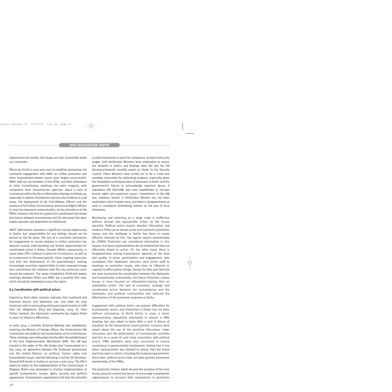experienced aid worker, the troops are now 'essentially holed up in barracks'.

Efforts by OCHA in 2004 and 2005 to establish mechanisms for consistent engagement with AMIS on civilian protection and other humanitarian-related issues were largely unsuccessful. AMIS staff are not members of the KPSG, and their attendance at other humanitarian meetings has been irregular, with complaints from humanitarian agencies about a lack of consistency within the AU on information sharing and follow-up, especially in reports of protection and security incidents in rural areas. The deployment of AU Civil–Military Officers and the creation of AU Civilian, Humanitarian and Human Rights Officers in 2005 has improved communication, as has attendance at the PWGs. However, the lack of a system for coordination has meant that liaison between humanitarian and AU personnel has been largely sporadic and dependent on individuals.

AMIS' deficiencies represent a significant missed opportunity in Darfur, but responsibility for any failings should not be pinned on the AU alone. The lack of a consistent mechanism for engagement on issues relating to civilian protection has reduced mutual understanding and limited opportunities for coordinated action in Darfur. Despite AMIS's unpopularity, in some areas IDPs continue to press for its presence, as well as its involvement in firewood patrols. Given ongoing insecurity, and with the deployment of UN peacekeepers looking increasingly uncertain, opportunities to inject renewed energy and commitment into relations with this key protection actor should be explored. The newly established OCHA-led weekly meetings between NGOs and AMIS are a positive first step, which should be developed across the region.

#### **6.5 Coordination with political actors**

Experience from other contexts indicates that mobilised and informed donors and diplomats can, and often do, play important roles in persuading delinquent governments to fulfil their IHL obligations (Paul and Bagshaw, 2004: 6). Over Darfur, however, the diplomatic community has largely failed to exert its influence effectively.

In early 2004, a monthly Technical Meeting was established, involving the Ministry of Foreign Affairs, the Humanitarian Aid Commission and political and humanitarian actors in Khartoum. These meetings were disbanded shortly after the establishment of the Joint Implementation Mechanism (JIM). The JIM was created in the wake of the UN–Sudan Joint Communiqué of 3 July 2004, an agreement between the Sudanese government and the United Nations on political, human rights and humanitarian issues, reached following a visit by UN Secretary-General Kofi Annan to Sudan on 29 June–3 July 2004. The JIM is meant to report on the implementation of the Communiqué. A Progress Matrix was developed to monitor implementation of specific humanitarian, human rights, security and political agreements. Humanitarian organisations felt that this provided a useful mechanism to press for compliance, at least in the early stages. Joint Verification Missions were undertaken to assess the situation in Darfur, and findings were fed into the UN Secretary-General's monthly report on Darfur to the Security Council. These Missions have turned out to be a crude and unwieldy instrument for evaluating progress, especially given the intimidation and harassment of witnesses in Darfur and the government's failure to acknowledge reported abuse. A subsidiary JIM (Sub-JIM) was later established to monitor human rights and protection issues. Commitment to the JIM has, however, waned. A Verification Mission has not been undertaken since October 2005, and there is disappointment at what is considered diminishing interest on the part of local embassies.

Monitoring and reporting on a large scale is ineffective without prompt and appropriate action on the issues reported. Political actors require detailed information and evidence if they are to remain active and involved in protection issues, and the challenge in Darfur has been to create effective channels for this. The regular reports disseminated by UNMIS Protection are considered informative in this respect, but donor representatives do not believe that they are effectively linked to action. On the other hand, there is disappointment among humanitarian agencies at the level and quality of donor participation and engagement, with complaints that diplomatic missions send junior staff to meetings on protection issues, who have no influence or capacity to effect policy change. Donors for their part feel that the main mechanism for coordination between the diplomatic and humanitarian communities, the Donor Protection Liaison Group, is more focused on information-sharing than on substantive action. This lack of consistent, strategic and coordinated action between the humanitarian and the diplomatic and political communities has reduced the effectiveness of the protection response in Darfur.

Engagement with political actors can present difficulties for humanitarian actors, and interaction in Darfur has not been without controversy. In North Darfur in 2004, a donor representative repeatedly attempted to attend a PWG meeting, but was asked to leave after a vote in favour of expulsion by the humanitarian actors present. Concerns were raised about the use of the sensitive information under discussion and the politicisation of humanitarian activities and fora as a result of such close association with political actors. PWG members were also concerned to ensure consistency in governmental involvement, feeling that if one donor representative was allowed to attend, then the forum had to be open to others, including the Sudanese government. Since then, political actors have not been granted permanent membership of the PWGs.

The protection rhetoric which became the storyline of the crisis during 2004 led several key donors to encourage humanitarian organisations to increase their involvement in protection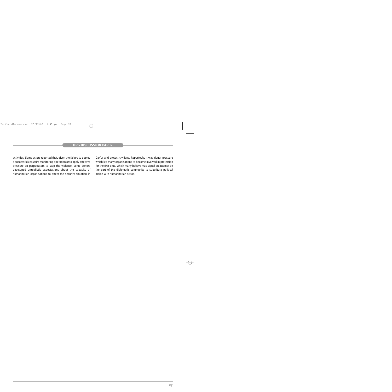activities. Some actors reported that, given the failure to deploy a successful ceasefire monitoring operation or to apply effective pressure on perpetrators to stop the violence, some donors developed unrealistic expectations about the capacity of humanitarian organisations to affect the security situation in

Darfur and protect civilians. Reportedly, it was donor pressure which led many organisations to become involved in protection for the first time, which many believe may signal an attempt on the part of the diplomatic community to substitute political action with humanitarian action.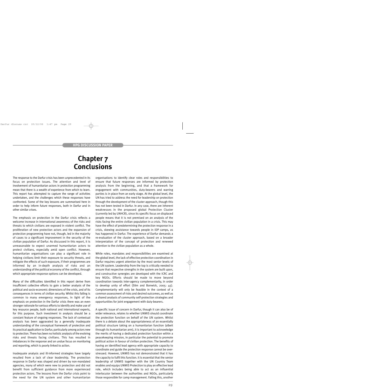### **Chapter 7 Conclusions**

The response to the Darfur crisis has been unprecedented in its focus on protection issues. The attention and level of involvement of humanitarian actors in protection programming mean that there is a wealth of experience from which to learn. This report has attempted to capture the range of activities undertaken, and the challenges which these responses have confronted. Some of the key lessons are summarised here in order to help inform future responses, both in Darfur and in other similar crises.

The emphasis on protection in the Darfur crisis reflects a welcome increase in international awareness of the risks and threats to which civilians are exposed in violent conflict. The proliferation of new protection actors and the expansion of protection programming have not, though, led in the majority of cases to a significant improvement in the security of the civilian population of Darfur. As discussed in this report, it is unreasonable to expect unarmed humanitarian actors to protect civilians, especially amid open conflict. However, humanitarian organisations can play a significant role in helping civilians limit their exposure to security threats, and mitigate the effects of such exposure, if their programmes are informed by an in-depth analysis of risks and an understanding of the political economy of the conflict, through which appropriate response options can be developed.

Many of the difficulties identified in this report derive from insufficient collective efforts to gain a better analysis of the political and socio-economic dimensions of the crisis, and of its consequences in terms of civilian security. Whilst this failing is common to many emergency responses, in light of the emphasis on protection in the Darfur crisis there was an even stronger rationale for serious efforts to identify and make use of key resource people, both national and international experts, for this purpose. Such investment in analysis should be a constant feature of ongoing responses. The lack of contextual analysis has been aggravated by a generally inadequate understanding of the conceptual framework of protection and its practical application to Darfur, particularly among actors new to protection. There has been no holistic analysis of the evolving risks and threats facing civilians. This has resulted in imbalances in the response and an undue focus on monitoring and reporting, which is poorly linked to action.

Inadequate analysis and ill-informed strategies have largely resulted from a lack of clear leadership. The protection response in Darfur was shaped and driven by non-mandated agencies, many of which were new to protection and did not benefit from sufficient guidance from more experienced protection actors. The lessons from the Darfur crisis point to the need for the UN system and other humanitarian organisations to identify clear roles and responsibilities to ensure that future responses are informed by protection analysis from the beginning, and that a framework for engagement with communities, duty-bearers and warring parties is in place from an early stage. At the global level, the UN has tried to address the need for leadership on protection through the development of the cluster approach, though this has not been tested in Darfur. In any case, there are inherent weaknesses in the proposed global Protection Cluster (currently led by UNHCR), since its specific focus on displaced people means that it is not premised on an analysis of the risks facing the entire civilian population in a crisis. This may have the effect of predetermining the protection response in a crisis, skewing assistance towards people in IDP camps, as has happened in Darfur. The experience of Darfur demands a re-evaluation of the cluster approach, based on a broader interpretation of the concept of protection and renewed attention to the civilian population as a whole.

While roles, mandates and responsibilities are examined at the global level, the lack of effective protection coordination in Darfur requires urgent attention by the most senior levels of the UN system. Leadership from the top is critically needed to ensure that respective strengths in the system are built upon, and constructive synergies are developed with the ICRC and key NGOs. Efforts should be made to move beyond coordination towards inter-agency complementarity, in order to develop unity of effort (Slim and Bonwick, 2005: 45). Complementarity will only be feasible in the context of a common assessment of risks and desired outcomes, as well as a shared analysis of community self-protection strategies and opportunities for joint engagement with duty-bearers.

A specific issue of concern in Darfur, though it can also be of wider relevance, relates to whether UNMIS should coordinate the protection function on behalf of the UN system. Whilst there is a debate about the appropriateness of an essentially political structure taking on a humanitarian function (albeit through its humanitarian arm), it is important to acknowledge the merits of having a dedicated protection function within a peacekeeping mission, in particular the potential to promote political action in favour of civilian protection. The benefits of having an identified lead agency with appropriate capacity to coordinate and guide the protection response cannot be overstressed. However, UNMIS has not demonstrated that it has the capacity to fulfil this function. It is essential that the senior leadership of UNMIS together with the UN Country Team enables and equips UNMIS Protection to play an effective lead role, which includes being able to act as an influential interlocutor between the authorities and NGOs, particularly those responsible for camp management. Failing this, another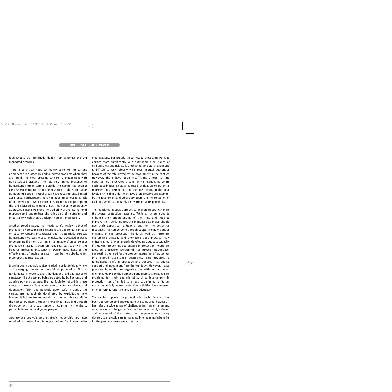lead should be identified, ideally from amongst the UN mandated agencies.

There is a critical need to review some of the current approaches to protection, and to redress problems where they are found. The most pressing concern is engagement with non-displaced civilians. The relatively limited presence of humanitarian organisations outside the camps has been a clear shortcoming of the Darfur response to date. The large numbers of people in rural areas have received only limited assistance. Furthermore, there has been an almost total lack of aid provision to Arab pastoralists, fostering the perception that aid is biased along ethnic lines. This needs to be urgently addressed since it weakens the credibility of the international response and undermines the principles of neutrality and impartiality which should underpin humanitarian action.

Another broad strategy that needs careful review is that of protection by presence. Its limitations are apparent, its impact on security remains inconclusive and it potentially exposes humanitarian workers to security risks. More detailed analysis to determine the merits of humanitarian actors' presence as a protective strategy is therefore required, particularly in the light of increasing insecurity in Darfur. Regardless of the effectiveness of such presence, it can be no substitute for more direct political action.

More in-depth analysis is also needed in order to identify new and emerging threats to the civilian population. This is fundamental in order to avert the danger of aid and places of sanctuary like the camps being co-opted by belligerents and abusive power structures. The manipulation of aid in these contexts makes civilians vulnerable to 'extortion, threat and deprivation' (Slim and Bonwick, 2005: 46). In Darfur, the camps are increasingly dominated by exploitative new leaders. It is therefore essential that risks and threats within the camps are more thoroughly examined, including through dialogue with a broad range of community members, particularly women and young people.

Appropriate analysis and strategic leadership are also required to better identify opportunities for humanitarian organisations, particularly those new to protection work, to engage more significantly with duty-bearers on issues of civilian safety and risk. So far, humanitarian actors have found it difficult to work closely with governmental authorities because of the role played by the government in the conflict. However, there have been insufficient efforts to find opportunities to develop a constructive relationship where such possibilities exist. A nuanced evaluation of potential reformers in government, and openings arising at the local level, is critical in order to achieve a progressive engagement by the government and other duty-bearers in the protection of civilians, which is ultimately a governmental responsibility.

The mandated agencies are critical players in strengthening the overall protection response. While all actors need to enhance their understanding of their role and need to improve their performance, the mandated agencies should use their expertise to help strengthen the collective response. This can be done through supporting new, serious entrants in the protection field, as well as informing overarching strategy and promoting good practice. New entrants should invest more in developing adequate capacity if they wish to continue to engage in protection. Recruiting isolated protection personnel has proved inadequate, suggesting the need for the broader integration of protection into overall assistance strategies. This requires a fundamental shift in approach and genuine institutional support and investment from the top down. However, it also presents humanitarian organisations with an important dilemma. Many see their engagement in protection as raising problems for their operationality, since involvement in protection has often led to a restriction in humanitarian space, especially where protection activities have focused on monitoring, reporting and public advocacy.

The emphasis placed on protection in the Darfur crisis has been appropriate and important. At the same time, however, it has raised a wide range of challenges for humanitarian and other actors, challenges which need to be seriously debated and addressed if the rhetoric and resources now being devoted to protection are to translate into meaningful benefits for the people whose safety is at risk.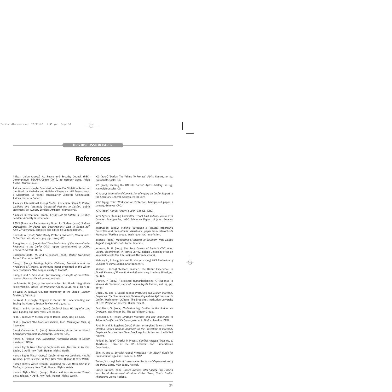### **References**

African Union (2004a) AU Peace and Security Council (PSC), Communiqué, PSC/PR/Comm (XVII), 20 October 2004. Addis Ababa: African Union.

African Union (2004b) Commission Cease-Fire Violation Report on the Attack in Hashaba and Gallaba Villages on 26<sup>th</sup> August 2004, 4 September. El Fasher: Headquarter Ceasefire Commission, African Union in Sudan.

Amnesty International (2003) *Sudan: Immediate Steps To Protect Civilians and Internally Displaced Persons in Darfur*, public statement, 29 August. London: Amnesty International.

Amnesty International (2006) *Crying Out for Safety*, 5 October. London: Amnesty International.

APGfS (Associate Parliamentary Group for Sudan) (2004) *Sudan's Opportunity for Peace and Development? Visit to Sudan 27th June–4th July 2004*, compiled and edited by Sultana Begum.

Bonwick, A. (2006) 'Who Really Protects Civilians?', *Development in Practice*, vol. 16, nos 3–4, pp. 270–77(8).

Broughton et al. (2006) *Real Time Evaluation of the Humanitarian Response to the Darfur Crisis*, report commissioned by OCHA. Geneva/New York: OCHA.

Buchanan-Smith, M. and S. Jaspars (2006) *Darfur Livelihood Report*. Khartoum: WFP.

Darcy, J (2005) *Seeking Safety: Civilians, Protection and the Avoidance of Threats*, background paper presented at the Wilton Park conference 'The Responsibility to Protect'.

Darcy, J. and S. Srinivasan (forthcoming) *Concepts of Protection*. London: Overseas Development Institute.

de Torrente, N. (2004) 'Humanitarianism Sacrificed: Integration's False Promise'. *Ethics - International Affairs*, vol.18, no. 2, pp. 3–12.

de Waal, A. (2004a) 'Counter-Insurgency on the Cheap', *London Review of Books*, 5.

de Waal, A. (2004b) 'Tragedy in Darfur: On Understanding and Ending the Horror', *Boston Review*, vol. 29, no. 5.

Flint, J. and A. de Waal (2005) *Darfur: A Short History of a Long War*. London and New York: Zed Books.

Flint, J. (2006a) 'A Steady Drip of Death', *Daily Star*, 20 June.

Flint, J. (2006b) 'The Arabs Are Victims, Too', *Washington Post*, 19 November.

Giossi Caverzasio, S. (2001) *Strengthening Protection in War: A Search for Professional Standards*. Geneva: ICRC.

Henry, S. (2006) *Mini Evaluation. Protection Issues in Darfur*. Khartoum: OCHA.

Human Rights Watch (2004) *Darfur in Flames. Atrocities in Western Sudan*, 2 April. New York: Human Rights Watch.

Human Rights Watch (2005a) *Darfur: Arrest War Criminals, not Aid Workers*, press release, 31 May. New York: Human Rights Watch.

Human Rights Watch (2005b) *Targeting the Fur: Mass Killings in Darfur*, 21 January. New York: Human Rights Watch.

Human Rights Watch (2005c) *Darfur: Aid Workers Under Threat*, press release, 5 April. New York: Human Rights Watch.

ICG (2005) 'Darfur: The Failure To Protect', *Africa Report*, no. 89. Nairobi/Brussels: ICG.

ICG (2006) 'Getting the UN into Darfur', *Africa Briefing*, no. 43. Nairobi/Brussels: ICG.

ICI (2005) *International Commission of Inquiry on Darfur*, Report to the Secretary-General, Geneva, 25 January.

ICRC (1999) Third Workshop on Protection, background paper, 7 January. Geneva: ICRC.

ICRC (2005) *Annual Report, Sudan*. Geneva: ICRC.

Inter-Agency Standing Committee (2004) *Civil–Military Relations in Complex Emergencie*s, IASC Reference Paper, 28 June. Geneva: IASC.

InterAction (2004) *Making Protection a Priority: Integrating Protection and Humanitarian Assistance*, paper from InterAction's Protection Working Group. Washington DC: InterAction.

Intersos (2006) *Monitoring of Returns in Southern West Darfur. August 2005/April 2006*. Rome: Intersos.

Johnson, D. H. (2003) *The Root Causes of Sudan's Civil Wars*. Oxford/Bloomington, IN: James Currey/Indiana University Press (in association with The International African Institute).

Mahony, L., S. Laughton and M. Vincent (2005) *WFP Protection of Civilians in Darfir, Sudan*. Khartoum: WFP.

Minear, L. (2005) 'Lessons Learned: The Darfur Experience' in *ALNAP Review of Humanitarian Action in 2004*. London: ALNAP, pp. 74–122.

O'Brien, P. (2004) 'Politicized Humanitarianism: A Response to Nicolas de Torrente', *Harvard Human Rights Journal*, vol. 17, pp. 31–39.

O'Neill, W. and V. Cassis (2005) *Protecting Two Million Internally Displaced: The Successes and Shortcomings of the African Union in Darfur*. Washington DC/Bern: The Brookings Institution-University of Bern Project on Internal Displacement.

Pantuliano, S. (2004) *Understanding Conflict in the Sudan: An Overview*. Washington DC: The World Bank Group.

Pantuliano, S. (2005) *Strategic Priorities and Key Challenges to Address Conflict and its Consequences in Darfur*. London: DFID.

Paul, D. and S. Bagshaw (2004) *Protect or Neglect? Toward a More Effective United Nations Approach to the Protection of Internally Displaced Persons*. New York: Brookings Institution and the United Nations.

Polloni, D. (2005) 'Darfur in Pieces', *Conflict Analysis Tools no. 6*. Khartoum: Office of the UN Resident and Humanitarian Coordinator.

Slim, H. and A. Bonwick (2004) *Protection – An ALNAP Guide for Humanitarian Agencies*. London: ALNAP.

Tanner, V. (2005) *Rule of Lawlessness: Roots and Repercussions of the Darfur Crisis*, NGO paper, Nairobi.

United Nations (2004) *United Nations Inter-Agency Fact Finding and Rapid Assessment Mission: Kailek Town, South Darfur*. Khartoum: United Nations.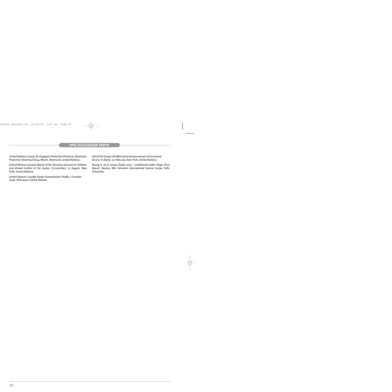United Nations (2005) *An Engaged Protection Presence*, Khartoum Protection Steering Group, March. Khartoum: United Nations.

United Nations (2006a) *Report of the Secretary-General on Children and Armed Conflict in the Sudan*, S/2006/662, 17 August. New York: United Nations.

United Nations (2006b) *Darfur Humanitarian Profile*, 1 October 2006. Khartoum: United Nations.

UN OCHA (2004) *UN Welcomes Announcement of Increased Access to Darfur*, 10 February. New York: United Nations.

Young, H. et al. (2005) *Darfur 2005 – Livelihoods Under Siege. Final Report*. Boston, MA: Feinstein International Famine Center, Tufts University.